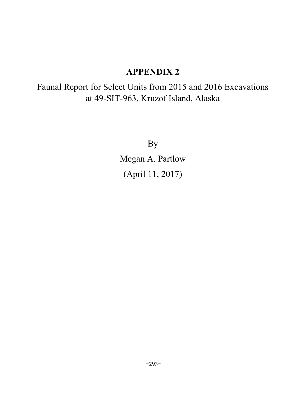# APPENDIX 2

Faunal Report for Select Units from 2015 and 2016 Excavations at 49-SIT-963, Kruzof Island, Alaska

By

Megan A. Partlow (April 11, 2017)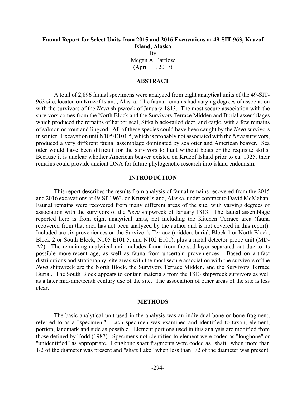# **Faunal Report for Select Units from 2015 and 2016 Excavations at 49-SIT-963, Kruzof Island, Alaska**

By Megan A. Partlow (April 11, 2017)

# **ABSTRACT**

A total of 2,896 faunal specimens were analyzed from eight analytical units of the 49-SIT-963 site, located on Kruzof Island, Alaska. The faunal remains had varying degrees of association with the survivors of the *Neva* shipwreck of January 1813. The most secure association with the survivors comes from the North Block and the Survivors Terrace Midden and Burial assemblages which produced the remains of harbor seal, Sitka black-tailed deer, and eagle, with a few remains of salmon or trout and lingcod. All of these species could have been caught by the *Neva* survivors in winter. Excavation unit N105/E101.5, which is probably not associated with the *Neva* survivors, produced a very different faunal assemblage dominated by sea otter and American beaver. Sea otter would have been difficult for the survivors to hunt without boats or the requisite skills. Because it is unclear whether American beaver existed on Kruzof Island prior to ca. 1925, their remains could provide ancient DNA for future phylogenetic research into island endemism.

# **INTRODUCTION**

This report describes the results from analysis of faunal remains recovered from the 2015 and 2016 excavations at 49-SIT-963, on Kruzof Island, Alaska, under contract to David McMahan. Faunal remains were recovered from many different areas of the site, with varying degrees of association with the survivors of the *Neva* shipwreck of January 1813. The faunal assemblage reported here is from eight analytical units, not including the Kitchen Terrace area (fauna recovered from that area has not been analyzed by the author and is not covered in this report). Included are six proveniences on the Survivor's Terrace (midden, burial, Block 1 or North Block, Block 2 or South Block, N105 E101.5, and N102 E101), plus a metal detector probe unit (MD-A2). The remaining analytical unit includes fauna from the sod layer separated out due to its possible more-recent age, as well as fauna from uncertain proveniences. Based on artifact distributions and stratigraphy, site areas with the most secure association with the survivors of the *Neva* shipwreck are the North Block, the Survivors Terrace Midden, and the Survivors Terrace Burial. The South Block appears to contain materials from the 1813 shipwreck survivors as well as a later mid-nineteenth century use of the site. The association of other areas of the site is less clear.

#### **METHODS**

The basic analytical unit used in the analysis was an individual bone or bone fragment, referred to as a "specimen." Each specimen was examined and identified to taxon, element, portion, landmark and side as possible. Element portions used in this analysis are modified from those defined by Todd (1987). Specimens not identified to element were coded as "longbone" or "unidentified" as appropriate. Longbone shaft fragments were coded as "shaft" when more than 1/2 of the diameter was present and "shaft flake" when less than 1/2 of the diameter was present.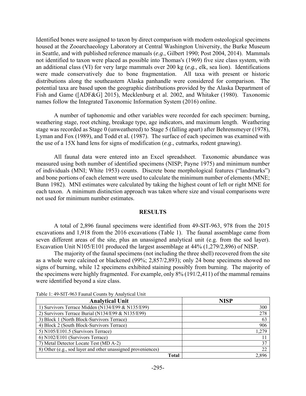Identified bones were assigned to taxon by direct comparison with modern osteological specimens housed at the Zooarchaeology Laboratory at Central Washington University, the Burke Museum in Seattle, and with published reference manuals (*e.g*., Gilbert 1990; Post 2004, 2014). Mammals not identified to taxon were placed as possible into Thomas's (1969) five size class system, with an additional class (VI) for very large mammals over 200 kg (*e.g.,* elk, sea lion). Identifications were made conservatively due to bone fragmentation. All taxa with present or historic distributions along the southeastern Alaska panhandle were considered for comparison. The potential taxa are based upon the geographic distributions provided by the Alaska Department of Fish and Game ([ADF&G] 2015), Mecklenburg et al. 2002, and Whitaker (1980). Taxonomic names follow the Integrated Taxonomic Information System (2016) online.

A number of taphonomic and other variables were recorded for each specimen: burning, weathering stage, root etching, breakage type, age indicators, and maximum length. Weathering stage was recorded as Stage 0 (unweathered) to Stage 5 (falling apart) after Behrensmeyer (1978), Lyman and Fox (1989), and Todd et al*.* (1987). The surface of each specimen was examined with the use of a 15X hand lens for signs of modification (*e.g*., cutmarks, rodent gnawing).

All faunal data were entered into an Excel spreadsheet. Taxonomic abundance was measured using both number of identified specimens (NISP; Payne 1975) and minimum number of individuals (MNI; White 1953) counts. Discrete bone morphological features ("landmarks") and bone portions of each element were used to calculate the minimum number of elements (MNE; Bunn 1982). MNI estimates were calculated by taking the highest count of left or right MNE for each taxon. A minimum distinction approach was taken where size and visual comparisons were not used for minimum number estimates.

# **RESULTS**

A total of 2,896 faunal specimens were identified from 49-SIT-963, 978 from the 2015 excavations and 1,918 from the 2016 excavations (Table 1). The faunal assemblage came from seven different areas of the site, plus an unassigned analytical unit (e.g. from the sod layer). Excavation Unit N105/E101 produced the largest assemblage at 44% (1,279/2,896) of NISP.

The majority of the faunal specimens (not including the three shell) recovered from the site as a whole were calcined or blackened (99%; 2,857/2,893); only 24 bone specimens showed no signs of burning, while 12 specimens exhibited staining possibly from burning. The majority of the specimens were highly fragmented. For example, only 8% (191/2,411) of the mammal remains were identified beyond a size class.

| <b>Analytical Unit</b>                                       | <b>NISP</b> |
|--------------------------------------------------------------|-------------|
| 1) Survivors Terrace Midden (N134/E99 & N135/E99)            | 300         |
| 2) Survivors Terrace Burial (N134/E99 & N135/E99)            | 278         |
| 3) Block 1 (North Block-Survivors Terrace)                   | 63          |
| 4) Block 2 (South Block-Survivors Terrace)                   | 906         |
| 5) N105/E101.5 (Survivors Terrace)                           | 1,279       |
| 6) N102/E101 (Survivors Terrace)                             | 11          |
| 7) Metal Detector Locate Test (MD A-2)                       | 37          |
| 8) Other (e.g., sod layer and other unassigned proveniences) | 22          |
| Total                                                        | 2.896       |

Table 1: 49-SIT-963 Faunal Counts by Analytical Unit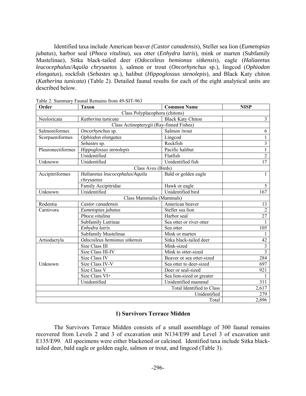Identified taxa include American beaver *(Castor canadensis*), Steller sea lion (*Eumetopias jubatus*), harbor seal (*Phoca vitulina*), sea otter (*Enhydra lutris*), mink or marten (Subfamily Mustelinae), Sitka black-tailed deer (*Odocoileus hemionus sitkensis*), eagle (*Haliaeetus leucocephalus/Aquila chrysaetos* ), salmon or trout (*Oncorhynchus* sp.), lingcod (*Ophiodon elongatus*), rockfish (*Sebastes* sp.), halibut (*Hippoglossus stenolepis*), and Black Katy chiton (*Katherina tunicata*) (Table 2). Detailed faunal results for each of the eight analytical units are described below.

| Order             | <b>Common Name</b>                | <b>NISP</b>                                      |                |  |  |  |  |  |  |
|-------------------|-----------------------------------|--------------------------------------------------|----------------|--|--|--|--|--|--|
|                   | Class Polyplacophora (chitons)    |                                                  |                |  |  |  |  |  |  |
| Neoloricata       | Katherina tunicata                | <b>Black Katy Chiton</b>                         | 3              |  |  |  |  |  |  |
|                   |                                   |                                                  |                |  |  |  |  |  |  |
| Salmoniformes     | Salmon /trout<br>Oncorhynchus sp. |                                                  |                |  |  |  |  |  |  |
| Scorpaeniformes   | Ophiodon elongatus                | Lingcod                                          |                |  |  |  |  |  |  |
|                   | Sebastes sp.                      | Rockfish                                         | 3              |  |  |  |  |  |  |
| Pleuronectiformes | Hippoglossus stenolepis           | Pacific halibut                                  | 1              |  |  |  |  |  |  |
|                   | Unidentified                      | Flatfish                                         | $\overline{c}$ |  |  |  |  |  |  |
| Unknown           | Unidentified                      | Unidentified fish                                | 17             |  |  |  |  |  |  |
|                   | Class Aves (Birds)                |                                                  |                |  |  |  |  |  |  |
| Accipitriformes   | Haliaeetus leucocephalus/Aquila   | Bald or golden eagle                             | 1              |  |  |  |  |  |  |
|                   | chrysaetos                        |                                                  |                |  |  |  |  |  |  |
|                   | Family Accipitridae               | Hawk or eagle                                    | 5              |  |  |  |  |  |  |
| Unknown           | Unidentified                      | Unidentified bird                                | 167            |  |  |  |  |  |  |
|                   | Class Mammalia (Mammals)          |                                                  |                |  |  |  |  |  |  |
| Rodentia          | Castor canadensis                 | American beaver                                  | 13             |  |  |  |  |  |  |
| Carnivora         | Eumetopias jubatus                | Steller sea lion                                 | $\overline{2}$ |  |  |  |  |  |  |
|                   | Phoca vitulina                    | Harbor seal                                      | 27             |  |  |  |  |  |  |
|                   | Subfamily Lutrinae                | Sea otter or river otter                         |                |  |  |  |  |  |  |
|                   | Enhydra lutris                    | Sea otter                                        | 105            |  |  |  |  |  |  |
|                   | Subfamily Mustelinae              | Mink or marten                                   | 1              |  |  |  |  |  |  |
| Artiodactyla      | Odocoileus hemionus sitkensis     | Sitka black-tailed deer                          | 42             |  |  |  |  |  |  |
|                   | Size Class III                    | Mink-sized                                       | $\overline{3}$ |  |  |  |  |  |  |
|                   | Size Class III-IV                 | Mink to otter-sized                              | $\overline{3}$ |  |  |  |  |  |  |
|                   | Size Class IV                     | Beaver or sea otter-sized                        | 284            |  |  |  |  |  |  |
| Unknown           | Size Class IV-V                   | Sea otter to deer-sized                          | 697            |  |  |  |  |  |  |
|                   | Size Class V                      | Deer or seal-sized                               | 921            |  |  |  |  |  |  |
|                   | Size Class VI+                    | Sea lion-sized or greater<br>Unidentified mammal |                |  |  |  |  |  |  |
|                   | Unidentified                      | 311                                              |                |  |  |  |  |  |  |
|                   |                                   | Total Identified to Class                        | 2,617          |  |  |  |  |  |  |
|                   |                                   | Unidentified                                     | 279            |  |  |  |  |  |  |
|                   |                                   | Total                                            | 2,896          |  |  |  |  |  |  |

Table 2: Summary Faunal Remains from 49-SIT-963

# **1) Survivors Terrace Midden**

The Survivors Terrace Midden consists of a small assemblage of 300 faunal remains recovered from Levels 2 and 3 of excavation unit N134/E99 and Level 3 of excavation unit E135/E99. All specimens were either blackened or calcined. Identified taxa include Sitka blacktailed deer, bald eagle or golden eagle, salmon or trout, and lingcod (Table 3).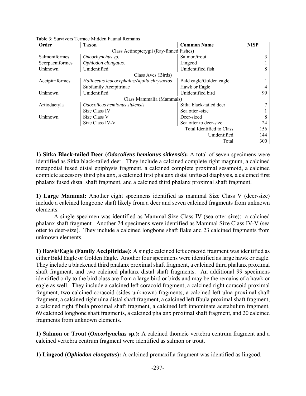| Order                                    | <b>Taxon</b>                               | <b>Common Name</b>        | <b>NISP</b> |  |  |  |  |  |  |
|------------------------------------------|--------------------------------------------|---------------------------|-------------|--|--|--|--|--|--|
| Class Actinopterygii (Ray-finned Fishes) |                                            |                           |             |  |  |  |  |  |  |
| Salmoniformes                            | Oncorhynchus sp.                           | Salmon/trout              | 3           |  |  |  |  |  |  |
| Scorpaeniformes                          | Ophiodon elongatus.                        | Lingcod                   |             |  |  |  |  |  |  |
| Unknown                                  | Unidentified                               | Unidentified fish         | 8           |  |  |  |  |  |  |
|                                          | Class Aves (Birds)                         |                           |             |  |  |  |  |  |  |
| Accipitriformes                          | Haliaeetus leucocephalus/Aquila chrysaetos | Bald eagle/Golden eagle   |             |  |  |  |  |  |  |
|                                          | Subfamily Accipitrinae                     | Hawk or Eagle             | 4           |  |  |  |  |  |  |
| Unknown                                  | Unidentified                               | Unidentified bird         | 99          |  |  |  |  |  |  |
|                                          | Class Mammalia (Mammals)                   |                           |             |  |  |  |  |  |  |
| Artiodactyla                             | Odocoileus hemionus sitkensis              | Sitka black-tailed deer   | 7           |  |  |  |  |  |  |
|                                          | Size Class IV                              | Sea otter -size           |             |  |  |  |  |  |  |
| Unknown                                  | Size Class V                               | Deer-sized                | 8           |  |  |  |  |  |  |
|                                          | Size Class IV-V                            | Sea otter to deer-size    | 24          |  |  |  |  |  |  |
|                                          |                                            | Total Identified to Class | 156         |  |  |  |  |  |  |
|                                          |                                            | Unidentified              | 144         |  |  |  |  |  |  |
|                                          |                                            | Total                     | 300         |  |  |  |  |  |  |

Table 3: Survivors Terrace Midden Faunal Remains

**1) Sitka Black-tailed Deer (***Odocoileus hemionus sitkensis***):** A total of seven specimens were identified as Sitka black-tailed deer. They include a calcined complete right magnum, a calcined metapodial fused distal epiphysis fragment, a calcined complete proximal sesamoid, a calcined complete accessory third phalanx, a calcined first phalanx distal unfused diaphysis, a calcined first phalanx fused distal shaft fragment, and a calcined third phalanx proximal shaft fragment.

**1) Large Mammal:** Another eight specimens identified as mammal Size Class V (deer-size) include a calcined longbone shaft likely from a deer and seven calcined fragments from unknown elements.

A single specimen was identified as Mammal Size Class IV (sea otter-size): a calcined phalanx shaft fragment. Another 24 specimens were identified as Mammal Size Class IV-V (sea otter to deer-size). They include a calcined longbone shaft flake and 23 calcined fragments from unknown elements.

**1) Hawk/Eagle (Family Accipitridae):** A single calcined left coracoid fragment was identified as either Bald Eagle or Golden Eagle. Another four specimens were identified as large hawk or eagle. They include a blackened third phalanx proximal shaft fragment, a calcined third phalanx proximal shaft fragment, and two calcined phalanx distal shaft fragments. An additional 99 specimens identified only to the bird class are from a large bird or birds and may be the remains of a hawk or eagle as well. They include a calcined left coracoid fragment, a calcined right coracoid proximal fragment, two calcined coracoid (sides unknown) fragments, a calcined left ulna proximal shaft fragment, a calcined right ulna distal shaft fragment, a calcined left fibula proximal shaft fragment, a calcined right fibula proximal shaft fragment, a calcined left innominate acetabulum fragment, 69 calcined longbone shaft fragments, a calcined phalanx proximal shaft fragment, and 20 calcined fragments from unknown elements.

**1) Salmon or Trout (***Oncorhynchus* **sp.):** A calcined thoracic vertebra centrum fragment and a calcined vertebra centrum fragment were identified as salmon or trout.

**1) Lingcod (***Ophiodon elongatus***):** A calcined premaxilla fragment was identified as lingcod.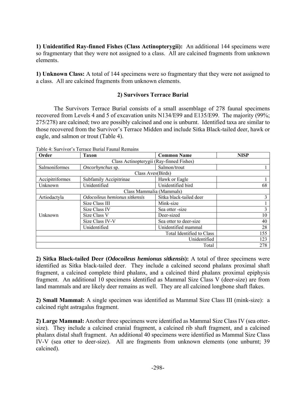**1) Unidentified Ray-finned Fishes (Class Actinopterygii):** An additional 144 specimens were so fragmentary that they were not assigned to a class. All are calcined fragments from unknown elements.

**1) Unknown Class:** A total of 144 specimens were so fragmentary that they were not assigned to a class. All are calcined fragments from unknown elements.

# **2) Survivors Terrace Burial**

The Survivors Terrace Burial consists of a small assemblage of 278 faunal specimens recovered from Levels 4 and 5 of excavation units N134/E99 and E135/E99. The majority (99%; 275/278) are calcined; two are possibly calcined and one is unburnt. Identified taxa are similar to those recovered from the Survivor's Terrace Midden and include Sitka Black-tailed deer, hawk or eagle, and salmon or trout (Table 4).

Table 4: Survivor's Terrace Burial Faunal Remains

| Order                                    | <b>Taxon</b>                  | <b>Common Name</b>       | <b>NISP</b> |  |  |  |  |  |  |  |
|------------------------------------------|-------------------------------|--------------------------|-------------|--|--|--|--|--|--|--|
| Class Actinopterygii (Ray-finned Fishes) |                               |                          |             |  |  |  |  |  |  |  |
| Salmoniformes                            |                               |                          |             |  |  |  |  |  |  |  |
|                                          |                               | Class Aves(Birds)        |             |  |  |  |  |  |  |  |
| Accipitriformes                          | Subfamily Accipitrinae        | Hawk or Eagle            |             |  |  |  |  |  |  |  |
| Unknown                                  | Unidentified                  | Unidentified bird        | 68          |  |  |  |  |  |  |  |
|                                          |                               | Class Mammalia (Mammals) |             |  |  |  |  |  |  |  |
| Artiodactyla                             | Odocoileus hemionus sitkensis | Sitka black-tailed deer  | 3           |  |  |  |  |  |  |  |
|                                          | Size Class III                | Mink-size                |             |  |  |  |  |  |  |  |
|                                          | Size Class IV                 | Sea otter -size          | 3           |  |  |  |  |  |  |  |
| Unknown                                  | Size Class V                  | Deer-sized               | 10          |  |  |  |  |  |  |  |
|                                          | Size Class IV-V               | Sea otter to deer-size   | 40          |  |  |  |  |  |  |  |
|                                          | Unidentified                  | Unidentified mammal      | 28          |  |  |  |  |  |  |  |
| Total Identified to Class                |                               |                          |             |  |  |  |  |  |  |  |
| 123<br>Unidentified                      |                               |                          |             |  |  |  |  |  |  |  |
|                                          | 278<br>Total                  |                          |             |  |  |  |  |  |  |  |

**2) Sitka Black-tailed Deer (***Odocoileus hemionus sitkensis***):** A total of three specimens were identified as Sitka black-tailed deer. They include a calcined second phalanx proximal shaft fragment, a calcined complete third phalanx, and a calcined third phalanx proximal epiphysis fragment. An additional 10 specimens identified as Mammal Size Class V (deer-size) are from land mammals and are likely deer remains as well. They are all calcined longbone shaft flakes.

**2) Small Mammal:** A single specimen was identified as Mammal Size Class III (mink-size): a calcined right astragalus fragment.

**2) Large Mammal:** Another three specimens were identified as Mammal Size Class IV (sea ottersize). They include a calcined cranial fragment, a calcined rib shaft fragment, and a calcined phalanx distal shaft fragment. An additional 40 specimens were identified as Mammal Size Class IV-V (sea otter to deer-size). All are fragments from unknown elements (one unburnt; 39 calcined).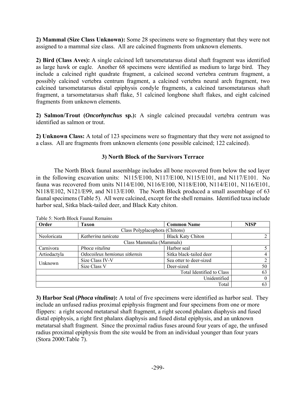**2) Mammal (Size Class Unknown):** Some 28 specimens were so fragmentary that they were not assigned to a mammal size class. All are calcined fragments from unknown elements.

**2) Bird (Class Aves):** A single calcined left tarsometatarsus distal shaft fragment was identified as large hawk or eagle. Another 68 specimens were identified as medium to large bird. They include a calcined right quadrate fragment, a calcined second vertebra centrum fragment, a possibly calcined vertebra centrum fragment, a calcined vertebra neural arch fragment, two calcined tarsometatarsus distal epiphysis condyle fragments, a calcined tarsometatarsus shaft fragment, a tarsometatarsus shaft flake, 51 calcined longbone shaft flakes, and eight calcined fragments from unknown elements.

**2) Salmon/Trout (***Oncorhynchus* **sp.):** A single calcined precaudal vertebra centrum was identified as salmon or trout.

**2) Unknown Class:** A total of 123 specimens were so fragmentary that they were not assigned to a class. All are fragments from unknown elements (one possible calcined; 122 calcined).

# **3) North Block of the Survivors Terrace**

The North Block faunal assemblage includes all bone recovered from below the sod layer in the following excavation units: N115/E100, N117/E100, N115/E101, and N117/E101. No fauna was recovered from units N114/E100, N116/E100, N118/E100, N114/E101, N116/E101, N118/E102, N121/E99, and N113/E100. The North Block produced a small assemblage of 63 faunal specimens (Table 5). All were calcined, except for the shell remains. Identified taxa include harbor seal, Sitka black-tailed deer, and Black Katy chiton.

| Order        | Taxon                          | <b>NISP</b>               |    |  |  |  |  |  |  |  |
|--------------|--------------------------------|---------------------------|----|--|--|--|--|--|--|--|
|              | Class Polyplacophora (Chitons) |                           |    |  |  |  |  |  |  |  |
| Neoloricata  | Katherina tunicata             | <b>Black Katy Chiton</b>  |    |  |  |  |  |  |  |  |
|              | Class Mammalia (Mammals)       |                           |    |  |  |  |  |  |  |  |
| Carnivora    | Phoca vitulina                 | Harbor seal               |    |  |  |  |  |  |  |  |
| Artiodactyla | Odocoileus hemionus sitkensis  | Sitka black-tailed deer   |    |  |  |  |  |  |  |  |
| Unknown      | Size Class IV-V                | Sea otter to deer-sized   |    |  |  |  |  |  |  |  |
|              | Size Class V                   | Deer-sized                | 50 |  |  |  |  |  |  |  |
|              |                                | Total Identified to Class | 63 |  |  |  |  |  |  |  |
|              |                                | Unidentified              |    |  |  |  |  |  |  |  |
|              |                                | Total                     | 63 |  |  |  |  |  |  |  |

Table 5: North Block Faunal Remains

**3) Harbor Seal (***Phoca vitulina***):** A total of five specimens were identified as harbor seal. They include an unfused radius proximal epiphysis fragment and four specimens from one or more flippers: a right second metatarsal shaft fragment, a right second phalanx diaphysis and fused distal epiphysis, a right first phalanx diaphysis and fused distal epiphysis, and an unknown metatarsal shaft fragment. Since the proximal radius fuses around four years of age, the unfused radius proximal epiphysis from the site would be from an individual younger than four years (Stora 2000:Table 7).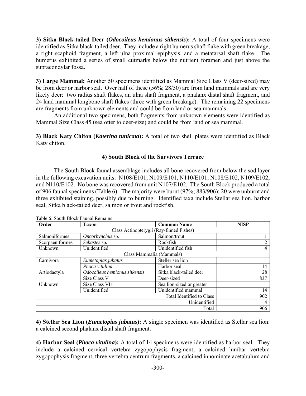**3) Sitka Black-tailed Deer (***Odocoileus hemionus sitkensis***):** A total of four specimens were identified as Sitka black-tailed deer. They include a right humerus shaft flake with green breakage, a right scaphoid fragment, a left ulna proximal epiphysis, and a metatarsal shaft flake. The humerus exhibited a series of small cutmarks below the nutrient foramen and just above the supracondylar fossa.

**3) Large Mammal:** Another 50 specimens identified as Mammal Size Class V (deer-sized) may be from deer or harbor seal. Over half of these (56%; 28/50) are from land mammals and are very likely deer: two radius shaft flakes, an ulna shaft fragment, a phalanx distal shaft fragment, and 24 land mammal longbone shaft flakes (three with green breakage). The remaining 22 specimens are fragments from unknown elements and could be from land or sea mammals.

An additional two specimens, both fragments from unknown elements were identified as Mammal Size Class 45 (sea otter to deer-size) and could be from land or sea mammal.

**3) Black Katy Chiton (***Katerina tunicata***):** A total of two shell plates were identified as Black Katy chiton.

# **4) South Block of the Survivors Terrace**

The South Block faunal assemblage includes all bone recovered from below the sod layer in the following excavation units: N108/E101, N109/E101, N110/E101, N108/E102, N109/E102, and N110/E102. No bone was recovered from unit N107/E102. The South Block produced a total of 906 faunal specimens (Table 6). The majority were burnt (97%; 883/906); 20 were unburnt and three exhibited staining, possibly due to burning. Identified taxa include Stellar sea lion, harbor seal, Sitka black-tailed deer, salmon or trout and rockfish.

| Order           | <b>NISP</b>                      |                           |     |  |  |  |  |
|-----------------|----------------------------------|---------------------------|-----|--|--|--|--|
|                 |                                  |                           |     |  |  |  |  |
| Salmoniformes   | Salmon/trout<br>Oncorhynchus sp. |                           |     |  |  |  |  |
| Scorpaeniformes | Sebastes sp.                     | Rockfish                  | ↑   |  |  |  |  |
| Unknown         | Unidentified                     | Unidentified fish         | 4   |  |  |  |  |
|                 |                                  | Class Mammalia (Mammals)  |     |  |  |  |  |
| Carnivora       | Eumetopias jubatus               | Steller sea lion          |     |  |  |  |  |
|                 | Phoca vitulina                   | Harbor seal               | 14  |  |  |  |  |
| Artiodactyla    | Odocoileus hemionus sitkensis    | Sitka black-tailed deer   | 28  |  |  |  |  |
|                 | Size Class V                     | Deer-sized                | 837 |  |  |  |  |
| Unknown         | Size Class VI+                   | Sea lion-sized or greater |     |  |  |  |  |
|                 | Unidentified                     | Unidentified mammal       | 14  |  |  |  |  |
|                 |                                  | Total Identified to Class | 902 |  |  |  |  |
|                 |                                  | Unidentified              | 4   |  |  |  |  |
|                 |                                  | Total                     | 906 |  |  |  |  |

Table 6: South Block Faunal Remains

**4) Stellar Sea Lion (***Eumetopias jubatus***):** A single specimen was identified as Stellar sea lion: a calcined second phalanx distal shaft fragment.

**4) Harbor Seal (***Phoca vitulina***):** A total of 14 specimens were identified as harbor seal. They include a calcined cervical vertebra zygopophysis fragment, a calcined lumbar vertebra zygopophysis fragment, three vertebra centrum fragments, a calcined innominate acetabulum and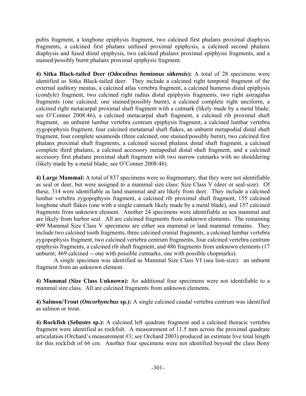pubis fragment, a longbone epiphysis fragment, two calcined first phalanx proximal diaphysis fragments, a calcined first phalanx unfused proximal epiphysis, a calcined second phalanx diaphysis and fused distal epiphysis, two calcined phalanx proximal epiphysis fragments, and a stained/possibly burnt phalanx proximal epiphysis fragment.

**4) Sitka Black-tailed Deer (***Odocoileus hemionus sitkensis***):** A total of 28 specimens were identified as Sitka Black-tailed deer. They include a calcined right temporal fragment of the external auditory meatus, a calcined atlas vertebra fragment, a calcined humerus distal epiphysis (condyle) fragment, two calcined right radius distal epiphysis fragments, two right astragalus fragments (one calcined; one stained/possibly burnt), a calcined complete right unciform, a calcined right metacarpal proximal shaft fragment with a cutmark (likely made by a metal blade; see O'Conner 2008:46), a calcined metacarpal shaft fragment, a calcined rib proximal shaft fragment, an unburnt lumbar vertebra centrum epiphysis fragment, a calcined lumbar vertebra zygopophysis fragment, four calcined metatarsal shaft flakes, an unburnt metapodial distal shaft fragment, four complete sesamoids (three calcined; one stained/possibly burnt), two calcined first phalanx proximal shaft fragments, a calcined second phalanx distal shaft fragment, a calcined complete third phalanx, a calcined accessory metapodial distal shaft fragment, and a calcined accessory first phalanx proximal shaft fragment with two narrow cutmarks with no shouldering (likely made by a metal blade; see O'Conner 2008:46).

**4) Large Mammal:** A total of 837 specimens were so fragmentary, that they were not identifiable as seal or deer, but were assigned to a mammal size class: Size Class V (deer or seal-size). Of these, 314 were identifiable as land mammal and are likely from deer. They include a calcined lumbar vertebra zygopophysis fragment, a calcined rib proximal shaft fragment, 155 calcined longbone shaft flakes (one with a single cutmark likely made by a metal blade), and 157 calcined fragments from unknown element. Another 24 specimens were identifiable as sea mammal and are likely from harbor seal. All are calcined fragments from unknown elements. The remaining 499 Mammal Size Class V specimens are either sea mammal or land mammal remains. They include two calcined tooth fragments, three calcined cranial fragments, a calcined lumbar vertebra zygopophysis fragment, two calcined vertebra centrum fragments, four calcined vertebra centrum epiphysis fragments, a calcined rib shaft fragment, and 486 fragments from unknown elements (17 unburnt; 469 calcined -- one with possible cutmarks, one with possible chopmarks).

A single specimen was identified as Mammal Size Class VI (sea lion-size): an unburnt fragment from an unknown element.

**4) Mammal (Size Class Unknown):** An additional four specimens were not identifiable to a mammal size class. All are calcined fragments from unknown elements.

**4) Salmon/Trout (***Oncorhynchus* **sp.):** A single calcined caudal vertebra centrum was identified as salmon or trout.

**4) Rockfish (***Sebastes* **sp.):** A calcined left quadrate fragment and a calcined thoracic vertebra fragment were identified as rockfish. A measurement of 11.5 mm across the proximal quadrate articulation (Orchard's measurement #3; see Orchard 2003) produced an estimate live total length for this rockfish of 66 cm. Another four specimens were not identified beyond the class Bony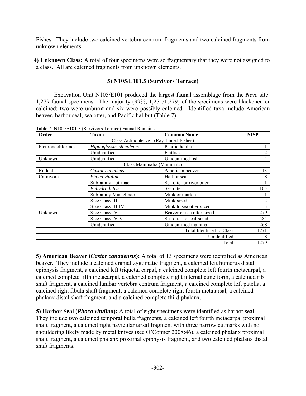Fishes. They include two calcined vertebra centrum fragments and two calcined fragments from unknown elements.

**4) Unknown Class:** A total of four specimens were so fragmentary that they were not assigned to a class. All are calcined fragments from unknown elements.

# **5) N105/E101.5 (Survivors Terrace)**

Excavation Unit N105/E101 produced the largest faunal assemblage from the *Neva* site: 1,279 faunal specimens. The majority (99%; 1,271/1,279) of the specimens were blackened or calcined; two were unburnt and six were possibly calcined. Identified taxa include American beaver, harbor seal, sea otter, and Pacific halibut (Table 7).

| Order                                    | <b>Taxon</b>            | <b>Common Name</b>        | <b>NISP</b>    |  |  |  |  |  |  |
|------------------------------------------|-------------------------|---------------------------|----------------|--|--|--|--|--|--|
| Class Actinopterygii (Ray-finned Fishes) |                         |                           |                |  |  |  |  |  |  |
| Pleuronectiformes                        | Hippoglossus stenolepis | Pacific halibut           |                |  |  |  |  |  |  |
|                                          | Unidentified            | Flatfish                  |                |  |  |  |  |  |  |
| Unknown                                  | Unidentified            | Unidentified fish         | 4              |  |  |  |  |  |  |
|                                          |                         | Class Mammalia (Mammals)  |                |  |  |  |  |  |  |
| Rodentia                                 | Castor canadensis       | American beaver           | 13             |  |  |  |  |  |  |
| Carnivora                                | Phoca vitulina          | Harbor seal               | 8              |  |  |  |  |  |  |
|                                          | Subfamily Lutrinae      | Sea otter or river otter  |                |  |  |  |  |  |  |
|                                          | Enhydra lutris          | Sea otter                 | 105            |  |  |  |  |  |  |
|                                          | Subfamily Mustelinae    | Mink or marten            |                |  |  |  |  |  |  |
|                                          | Size Class III          | Mink-sized                | $\overline{2}$ |  |  |  |  |  |  |
|                                          | Size Class III-IV       | Mink to sea otter-sized   | 3              |  |  |  |  |  |  |
| Unknown                                  | Size Class IV           | Beaver or sea otter-sized | 279            |  |  |  |  |  |  |
|                                          | Size Class IV-V         | Sea otter to seal-sized   | 584            |  |  |  |  |  |  |
|                                          | Unidentified            | Unidentified mammal       | 268            |  |  |  |  |  |  |
|                                          |                         | Total Identified to Class | 1271           |  |  |  |  |  |  |
|                                          |                         | Unidentified              | 8              |  |  |  |  |  |  |
|                                          |                         | Total                     | 1279           |  |  |  |  |  |  |

Table 7: N105/E101.5 (Survivors Terrace) Faunal Remains

**5) American Beaver (***Castor canadensis***):** A total of 13 specimens were identified as American beaver. They include a calcined cranial zygomatic fragment, a calcined left humerus distal epiphysis fragment, a calcined left triquetal carpal, a calcined complete left fourth metacarpal, a calcined complete fifth metacarpal, a calcined complete right internal cuneiform, a calcined rib shaft fragment, a calcined lumbar vertebra centrum fragment, a calcined complete left patella, a calcined right fibula shaft fragment, a calcined complete right fourth metatarsal, a calcined phalanx distal shaft fragment, and a calcined complete third phalanx.

**5) Harbor Seal (***Phoca vitulina***):** A total of eight specimens were identified as harbor seal. They include two calcined temporal bulla fragments, a calcined left fourth metacarpal proximal shaft fragment, a calcined right navicular tarsal fragment with three narrow cutmarks with no shouldering likely made by metal knives (see O'Conner 2008:46), a calcined phalanx proximal shaft fragment, a calcined phalanx proximal epiphysis fragment, and two calcined phalanx distal shaft fragments.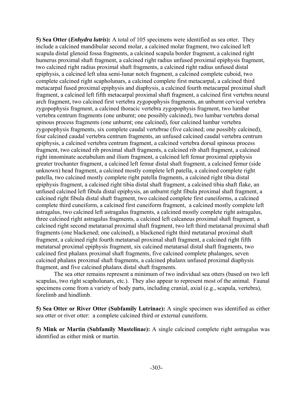**5) Sea Otter (***Enhydra lutris***):** A total of 105 specimens were identified as sea otter. They include a calcined mandibular second molar, a calcined molar fragment, two calcined left scapula distal glenoid fossa fragments, a calcined scapula border fragment, a calcined right humerus proximal shaft fragment, a calcined right radius unfused proximal epiphysis fragment, two calcined right radius proximal shaft fragments, a calcined right radius unfused distal epiphysis, a calcined left ulna semi-lunar notch fragment, a calcined complete cuboid, two complete calcined right scapholunars, a calcined complete first metacarpal, a calcined third metacarpal fused proximal epiphysis and diaphysis, a calcined fourth metacarpal proximal shaft fragment, a calcined left fifth metacarpal proximal shaft fragment, a calcined first vertebra neural arch fragment, two calcined first vertebra zygopophysis fragments, an unburnt cervical vertebra zygopophysis fragment, a calcined thoracic vertebra zygopophysis fragment, two lumbar vertebra centrum fragments (one unburnt; one possibly calcined), two lumbar vertebra dorsal spinous process fragments (one unburnt; one calcined), four calcined lumbar vertebra zygopophysis fragments, six complete caudal vertebrae (five calcined; one possibly calcined), four calcined caudal vertebra centrum fragments, an unfused calcined caudal vertebra centrum epiphysis, a calcined vertebra centrum fragment, a calcined vertebra dorsal spinous process fragment, two calcined rib proximal shaft fragments, a calcined rib shaft fragment, a calcined right innominate acetabulum and ilium fragment, a calcined left femur proximal epiphysis greater trochanter fragment, a calcined left femur distal shaft fragment, a calcined femur (side unknown) head fragment, a calcined mostly complete left patella, a calcined complete right patella, two calcined mostly complete right patella fragments, a calcined right tibia distal epiphysis fragment, a calcined right tibia distal shaft fragment, a calcined tibia shaft flake, an unfused calcined left fibula distal epiphysis, an unburnt right fibula proximal shaft fragment, a calcined right fibula distal shaft fragment, two calcined complete first cuneiforms, a calcined complete third cuneiform, a calcined first cuneiform fragment, a calcined mostly complete left astragalus, two calcined left astragalus fragments, a calcined mostly complete right astragalus, three calcined right astragalus fragments, a calcined left calcaneus proximal shaft fragment, a calcined right second metatarsal proximal shaft fragment, two left third metatarsal proximal shaft fragments (one blackened; one calcined), a blackened right third metatarsal proximal shaft fragment, a calcined right fourth metatarsal proximal shaft fragment, a calcined right fifth metatarsal proximal epiphysis fragment, six calcined metatarsal distal shaft fragments, two calcined first phalanx proximal shaft fragments, five calcined complete phalanges, seven calcined phalanx proximal shaft fragments, a calcined phalanx unfused proximal diaphysis fragment, and five calcined phalanx distal shaft fragments.

The sea otter remains represent a minimum of two individual sea otters (based on two left scapulas, two right scapholunars, etc.). They also appear to represent most of the animal. Faunal specimens come from a variety of body parts, including cranial, axial (e.g., scapula, vertebra), forelimb and hindlimb.

**5) Sea Otter or River Otter (Subfamily Lutrinae):** A single specimen was identified as either sea otter or river otter: a complete calcined third or external cuneiform.

**5) Mink or Martin (Subfamily Mustelinae):** A single calcined complete right astragalus was identified as either mink or martin.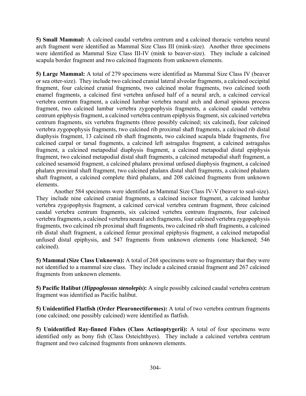**5) Small Mammal:** A calcined caudal vertebra centrum and a calcined thoracic vertebra neural arch fragment were identified as Mammal Size Class III (mink-size). Another three specimens were identified as Mammal Size Class III-IV (mink to beaver-size). They include a calcined scapula border fragment and two calcined fragments from unknown elements.

**5) Large Mammal:** A total of 279 specimens were identified as Mammal Size Class IV (beaver or sea otter-size). They include two calcined cranial lateral alveolar fragments, a calcined occipital fragment, four calcined cranial fragments, two calcined molar fragments, two calcined tooth enamel fragments, a calcined first vertebra unfused half of a neural arch, a calcined cervical vertebra centrum fragment, a calcined lumbar vertebra neural arch and dorsal spinous process fragment, two calcined lumbar vertebra zygopophysis fragments, a calcined caudal vertebra centrum epiphysis fragment, a calcined vertebra centrum epiphysis fragment, six calcined vertebra centrum fragments, six vertebra fragments (three possibly calcined; six calcined), four calcined vertebra zygopophysis fragments, two calcined rib proximal shaft fragments, a calcined rib distal diaphysis fragment, 13 calcined rib shaft fragments, two calcined scapula blade fragments, five calcined carpal or tarsal fragments, a calcined left astragalus fragment, a calcined astragalus fragment, a calcined metapodial diaphysis fragment, a calcined metapodial distal epiphysis fragment, two calcined metapodial distal shaft fragments, a calcined metapodial shaft fragment, a calcined sesamoid fragment, a calcined phalanx proximal unfused diaphysis fragment, a calcined phalanx proximal shaft fragment, two calcined phalanx distal shaft fragments, a calcined phalanx shaft fragment, a calcined complete third phalanx, and 208 calcined fragments from unknown elements.

Another 584 specimens were identified as Mammal Size Class IV-V (beaver to seal-size). They include nine calcined cranial fragments, a calcined incisor fragment, a calcined lumbar vertebra zygopophysis fragment, a calcined cervical vertebra centrum fragment, three calcined caudal vertebra centrum fragments, six calcined vertebra centrum fragments, four calcined vertebra fragments, a calcined vertebra neural arch fragments, four calcined vertebra zygopophysis fragments, two calcined rib proximal shaft fragments, two calcined rib shaft fragments, a calcined rib distal shaft fragment, a calcined femur proximal epiphysis fragment, a calcined metapodial unfused distal epiphysis, and 547 fragments from unknown elements (one blackened; 546 calcined).

**5) Mammal (Size Class Unknown):** A total of 268 specimens were so fragmentary that they were not identified to a mammal size class. They include a calcined cranial fragment and 267 calcined fragments from unknown elements.

**5) Pacific Halibut (***Hippoglossus stenolepis***):** A single possibly calcined caudal vertebra centrum fragment was identified as Pacific halibut.

**5) Unidentified Flatfish (Order Pleuronectiformes):** A total of two vertebra centrum fragments (one calcined; one possibly calcined) were identified as flatfish.

**5) Unidentified Ray-finned Fishes (Class Actinoptygerii):** A total of four specimens were identified only as bony fish (Class Osteichthyes). They include a calcined vertebra centrum fragment and two calcined fragments from unknown elements.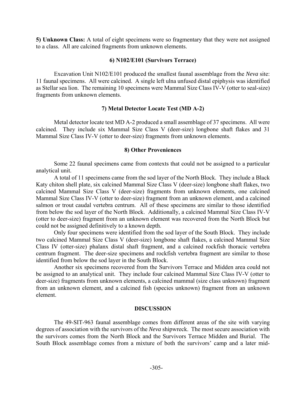**5) Unknown Class:** A total of eight specimens were so fragmentary that they were not assigned to a class. All are calcined fragments from unknown elements.

# **6) N102/E101 (Survivors Terrace)**

Excavation Unit N102/E101 produced the smallest faunal assemblage from the *Neva* site: 11 faunal specimens. All were calcined. A single left ulna unfused distal epiphysis was identified as Stellar sea lion. The remaining 10 specimens were Mammal Size Class IV-V (otter to seal-size) fragments from unknown elements.

# **7) Metal Detector Locate Test (MD A-2)**

Metal detector locate test MD A-2 produced a small assemblage of 37 specimens. All were calcined. They include six Mammal Size Class V (deer-size) longbone shaft flakes and 31 Mammal Size Class IV-V (otter to deer-size) fragments from unknown elements.

#### **8) Other Proveniences**

Some 22 faunal specimens came from contexts that could not be assigned to a particular analytical unit.

A total of 11 specimens came from the sod layer of the North Block. They include a Black Katy chiton shell plate, six calcined Mammal Size Class V (deer-size) longbone shaft flakes, two calcined Mammal Size Class V (deer-size) fragments from unknown elements, one calcined Mammal Size Class IV-V (otter to deer-size) fragment from an unknown element, and a calcined salmon or trout caudal vertebra centrum. All of these specimens are similar to those identified from below the sod layer of the North Block. Additionally, a calcined Mammal Size Class IV-V (otter to deer-size) fragment from an unknown element was recovered from the North Block but could not be assigned definitively to a known depth.

Only four specimens were identified from the sod layer of the South Block. They include two calcined Mammal Size Class V (deer-size) longbone shaft flakes, a calcined Mammal Size Class IV (otter-size) phalanx distal shaft fragment, and a calcined rockfish thoracic vertebra centrum fragment. The deer-size specimens and rockfish vertebra fragment are similar to those identified from below the sod layer in the South Block.

Another six specimens recovered from the Survivors Terrace and Midden area could not be assigned to an analytical unit. They include four calcined Mammal Size Class IV-V (otter to deer-size) fragments from unknown elements, a calcined mammal (size class unknown) fragment from an unknown element, and a calcined fish (species unknown) fragment from an unknown element.

# **DISCUSSION**

The 49-SIT-963 faunal assemblage comes from different areas of the site with varying degrees of association with the survivors of the *Neva* shipwreck. The most secure association with the survivors comes from the North Block and the Survivors Terrace Midden and Burial. The South Block assemblage comes from a mixture of both the survivors' camp and a later mid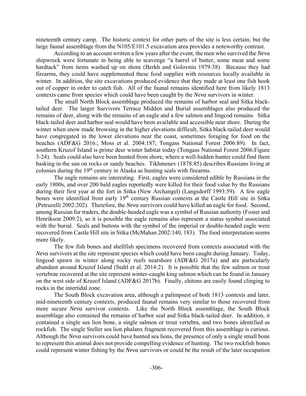nineteenth century camp. The historic context for other parts of the site is less certain, but the large faunal assemblage from the N105/E101.5 excavation area provides a noteworthy contrast.

According to an account written a few years after the event, the men who survived the *Neva* shipwreck were fortunate in being able to scavenge "a barrel of butter, some meat and some hardtack" from items washed up on shore (Berkh and Golovnin 1979:38). Because they had firearms, they could have supplemented these food supplies with resources locally available in winter. In addition, the site excavations produced evidence that they made at least one fish hook out of copper in order to catch fish. All of the faunal remains identified here from likely 1813 contexts came from species which could have been caught by the *Neva* survivors in winter.

The small North Block assemblage produced the remains of harbor seal and Sitka blacktailed deer. The larger Survivors Terrace Midden and Burial assemblages also produced the remains of deer, along with the remains of an eagle and a few salmon and lingcod remains. Sitka black-tailed deer and harbor seal would have been available and accessible near shore. During the winter when snow made browsing in the higher elevations difficult, Sitka black-tailed deer would have congregated in the lower elevations near the coast, sometimes foraging for food on the beaches (ADF&G 2016.; Moss et al. 2004:187; Tongass National Forest 2006:89). In fact, southern Kruzof Island is prime deer winter habitat today (Tongass National Forest 2006:Figure 3-24). Seals could also have been hunted from shore, where a well-hidden hunter could find them basking in the sun on rocks or sandy beaches. Tikhmenev (1878:85) describes Russians living at colonies during the 19<sup>th</sup> century in Alaska as hunting seals with firearms.

The eagle remains are interesting. First, eagles were considered edible by Russians in the early 1800s, and over 200 bald eagles reportedly were killed for their food value by the Russians during their first year at the fort in Sitka (New Archangel) (Langsdorff 1993:59). A few eagle bones were identified from early 19<sup>th</sup> century Russian contexts at the Castle Hill site in Sitka (Petruzelli 2002:202). Therefore, the *Neva* survivors could have killed an eagle for food. Second, among Russian fur traders, the double-headed eagle was a symbol of Russian authority (Foster and Henrikson 2009:2), so it is possible the eagle remains also represent a status symbol associated with the burial. Seals and buttons with the symbol of the imperial or double-headed eagle were recovered from Castle Hill site in Sitka (McMahan 2002:140, 183). The food interpretation seems more likely.

The few fish bones and shellfish specimens recovered from contexts associated with the *Neva* survivors at the site represent species which could have been caught during January. Today, lingcod spawn in winter along rocky reefs nearshore (ADF&G 2017a) and are particularly abundant around Kruzof Island (Stahl et al. 2014:2). It is possible that the few salmon or trout vertebrae recovered at the site represent winter-caught king salmon which can be found in January on the west side of Kruzof Island (ADF&G 2017b). Finally, chitons are easily found clinging to rocks in the intertidal zone.

The South Block excavation area, although a palimpsest of both 1813 contexts and later, mid-nineteenth century contexts, produced faunal remains very similar to those recovered from more secure *Neva* survivor contexts. Like the North Block assemblage, the South Block assemblage also contained the remains of harbor seal and Sitka black-tailed deer. In addition, it contained a single sea lion bone, a single salmon or trout vertebra, and two bones identified as rockfish. The single Steller sea lion phalanx fragment recovered from this assemblage is curious. Although the *Neva* survivors could have hunted sea lions, the presence of only a single small bone to represent this animal does not provide compelling evidence of hunting. The two rockfish bones could represent winter fishing by the *Neva* survivors or could be the result of the later occupation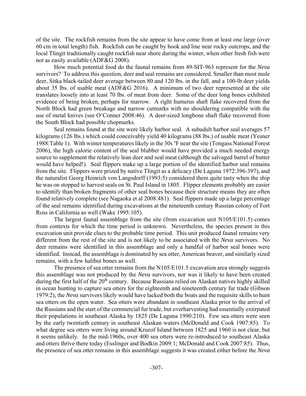of the site. The rockfish remains from the site appear to have come from at least one large (over 60 cm in total length) fish. Rockfish can be caught by hook and line near rocky outcrops, and the local Tlingit traditionally caught rockfish near shore during the winter, when other fresh fish were not as easily available (ADF&G 2008).

How much potential food do the faunal remains from 49-SIT-963 represent for the *Neva* survivors? To address this question, deer and seal remains are considered. Smaller than most mule deer, Sitka black-tailed deer average between 80 and 120 lbs. in the fall, and a 100-lb deer yields about 35 lbs. of usable meat (ADF&G 2016). A minimum of two deer represented at the site translates loosely into at least 70 lbs. of meat from deer. Some of the deer long bones exhibited evidence of being broken, perhaps for marrow. A right humerus shaft flake recovered from the North Block had green breakage and narrow cutmarks with no shouldering compatible with the use of metal knives (see O'Conner 2008:46). A deer-sized longbone shaft flake recovered from the South Block had possible chopmarks.

Seal remains found at the site were likely harbor seal. A subadult harbor seal averages 57 kilograms (126 lbs.) which could conceivably yield 40 kilograms (88 lbs.) of usable meat (Yesner 1988:Table 1). With winter temperatures likely in the 30s °F near the site (Tongass National Forest 2006), the high calorie content of the seal blubber would have provided a much needed energy source to supplement the relatively lean deer and seal meat (although the salvaged barrel of butter would have helped!). Seal flippers make up a large portion of the identified harbor seal remains from the site. Flippers were prized by native Tlingit as a delicacy (De Laguna 1972:396-397), and the naturalist Georg Heinrich von Langsdorff (1993:5) considered them quite tasty when the ship he was on stopped to harvest seals on St. Paul Island in 1805. Flipper elements probably are easier to identify than broken fragments of other seal bones because their structure means they are often found relatively complete (see Nagaoka et al 2008:481). Seal flippers made up a large percentage of the seal remains identified during excavations at the nineteenth century Russian colony of Fort Ross in California as well (Wake 1995:105).

The largest faunal assemblage from the site (from excavation unit N105/E101.5) comes from contexts for which the time period is unknown. Nevertheless, the species present in this excavation unit provide clues to the probable time period. This unit produced faunal remains very different from the rest of the site and is not likely to be associated with the *Neva* survivors. No deer remains were identified in this assemblage and only a handful of harbor seal bones were identified. Instead, the assemblage is dominated by sea otter, American beaver, and similarly sized remains, with a few halibut bones as well.

The presence of sea otter remains from the N105/E101.5 excavation area strongly suggests this assemblage was not produced by the *Neva* survivors, nor was it likely to have been created during the first half of the 20<sup>th</sup> century. Because Russians relied on Alaskan natives highly skilled in ocean hunting to capture sea otters for the eighteenth and nineteenth century fur trade (Gibson 1979:2), the *Neva* survivors likely would have lacked both the boats and the requisite skills to hunt sea otters on the open water. Sea otters were abundant in southeast Alaska prior to the arrival of the Russians and the start of the commercial fur trade, but overharvesting had essentially extirpated their populations in southeast Alaska by 1825 (De Laguna 1990:210). Few sea otters were seen by the early twentieth century in southeast Alaskan waters (McDonald and Cook 1907:85). To what degree sea otters were living around Kruzof Island between 1825 and 1960 is not clear, but it seems unlikely. In the mid-1960s, over 400 sea otters were re-introduced to southeast Alaska and otters thrive there today (Esslinger and Bodkin 2009:1; McDonald and Cook 2007:85). Thus, the presence of sea otter remains in this assemblage suggests it was created either before the *Neva*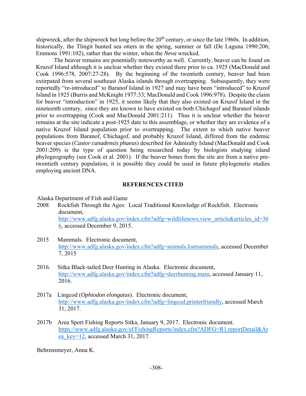shipwreck, after the shipwreck but long before the  $20<sup>th</sup>$  century, or since the late 1960s. In addition, historically, the Tlingit hunted sea otters in the spring, summer or fall (De Laguna 1990:206; Emmons 1991:102), rather than the winter, when the *Neva* wrecked.

The beaver remains are potentially noteworthy as well. Currently, beaver can be found on Kruzof Island although it is unclear whether they existed there prior to ca. 1925 (MacDonald and Cook 1996:578, 2007:27-28). By the beginning of the twentieth century, beaver had been extirpated from several southeast Alaska islands through overtrapping. Subsequently, they were reportedly "re-introduced" to Baranof Island in 1927 and may have been "introduced" to Kruzof Island in 1925 (Burris and McKnight 1977:33; MacDonald and Cook 1996:978). Despite the claim for beaver "introduction" in 1925, it seems likely that they also existed on Kruzof Island in the nineteenth century, since they are known to have existed on both Chichagof and Baranof islands prior to overtrapping (Cook and MacDonald 2001:211). Thus it is unclear whether the beaver remains at the site indicate a post-1925 date to this assemblage, or whether they are evidence of a native Kruzof Island population prior to overtrapping. The extent to which native beaver populations from Baranof, Chichagof, and probably Kruzof Island, differed from the endemic beaver species (*Castor canadensis phaeus*) described for Admiralty Island (MacDonald and Cook 2001:209) is the type of question being researched today by biologists studying island phylogeography (see Cook et al. 2001). If the beaver bones from the site are from a native pretwentieth century population, it is possible they could be used in future phylogenetic studies employing ancient DNA.

# **REFERENCES CITED**

Alaska Department of Fish and Game

- 2008 Rockfish Through the Ages: Local Traditional Knowledge of Rockfish. Electronic document, http://www.adfg.alaska.gov/index.cfm?adfg=wildlifenews.view\_article&articles\_id=36 6, accessed December 9, 2015.
- 2015 Mammals. Electronic document, http://www.adfg.alaska.gov/index.cfm?adfg=animals.listmammals, accessed December 7, 2015
- 2016. Sitka Black-tailed Deer Hunting in Alaska. Electronic document, http://www.adfg.alaska.gov/index.cfm?adfg=deerhunting.main, accessed January 11, 2016.
- 2017a Lingcod (*Ophiodon elongatus*). Electronic document, http://www.adfg.alaska.gov/index.cfm?adfg=lingcod.printerfriendly, accessed March 31, 2017.
- 2017b Area Sport Fishing Reports Sitka, January 9, 2017. Electronic document. https://www.adfg.alaska.gov/sf/FishingReports/index.cfm?ADFG=R1.reportDetail&Ar ea\_key=12, accessed March 31, 2017.

Behrensmeyer, Anna K.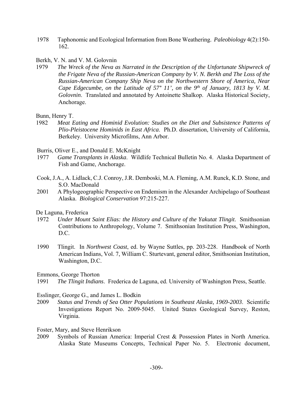- 1978 Taphonomic and Ecological Information from Bone Weathering. *Paleobiology* 4(2):150- 162.
- Berkh, V. N. and V. M. Golovnin
- 1979 *The Wreck of the Neva as Narrated in the Description of the Unfortunate Shipwreck of the Frigate Neva of the Russian-American Company by V. N. Berkh and The Loss of the Russian-American Company Ship Neva on the Northwestern Shore of America, Near Cape Edgecumbe, on the Latitude of 57° 11', on the 9<sup>th</sup> of January, 1813 by V. M. Golovnin*. Translated and annotated by Antoinette Shalkop. Alaska Historical Society, Anchorage.

Bunn, Henry T.

1982 *Meat Eating and Hominid Evolution: Studies on the Diet and Subsistence Patterns of Plio-Pleistocene Hominids in East Africa*. Ph.D. dissertation, University of California, Berkeley. University Microfilms, Ann Arbor.

Burris, Oliver E., and Donald E. McKnight

- 1977 *Game Transplants in Alaska*. Wildlife Technical Bulletin No. 4. Alaska Department of Fish and Game, Anchorage.
- Cook, J.A., A. Lidlack, C.J. Conroy, J.R. Demboski, M.A. Fleming, A.M. Runck, K.D. Stone, and S.O. MacDonald
- 2001 A Phylogeographic Perspective on Endemism in the Alexander Archipelago of Southeast Alaska. *Biological Conservation* 97:215-227.

De Laguna, Frederica

- 1972 *Under Mount Saint Elias: the History and Culture of the Yakutat Tlingit*. Smithsonian Contributions to Anthropology, Volume 7. Smithsonian Institution Press, Washington, D.C.
- 1990 Tlingit. In *Northwest Coast*, ed. by Wayne Suttles, pp. 203-228. Handbook of North American Indians, Vol. 7, William C. Sturtevant, general editor, Smithsonian Institution, Washington, D.C.

Emmons, George Thorton

1991 *The Tlingit Indians*. Frederica de Laguna, ed. University of Washington Press, Seattle.

Esslinger, George G., and James L. Bodkin

- 2009 *Status and Trends of Sea Otter Populations in Southeast Alaska, 1969-2003*. Scientific Investigations Report No. 2009-5045. United States Geological Survey, Reston, Virginia.
- Foster, Mary, and Steve Henrikson
- 2009 Symbols of Russian America: Imperial Crest & Possession Plates in North America. Alaska State Museums Concepts, Technical Paper No. 5. Electronic document,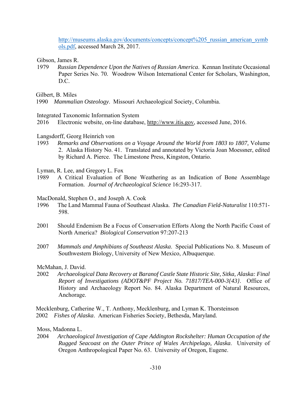http://museums.alaska.gov/documents/concepts/concept%205\_russian\_american\_symb ols.pdf, accessed March 28, 2017.

Gibson, James R.

1979 *Russian Dependence Upon the Natives of Russian America*. Kennan Institute Occasional Paper Series No. 70. Woodrow Wilson International Center for Scholars, Washington, D.C.

Gilbert, B. Miles

- Integrated Taxonomic Information System
- 2016 Electronic website, on-line database, http://www.itis.gov, accessed June, 2016.
- Langsdorff, Georg Heinrich von
- 1993 *Remarks and Observations on a Voyage Around the World from 1803 to 1807,* Volume 2. Alaska History No. 41. Translated and annotated by Victoria Joan Moessner, edited by Richard A. Pierce. The Limestone Press, Kingston, Ontario.
- Lyman, R. Lee, and Gregory L. Fox
- 1989 A Critical Evaluation of Bone Weathering as an Indication of Bone Assemblage Formation. *Journal of Archaeological Science* 16:293-317.

MacDonald, Stephen O., and Joseph A. Cook

- 1996 The Land Mammal Fauna of Southeast Alaska. *The Canadian Field-Naturalist* 110:571- 598.
- 2001 Should Endemism Be a Focus of Conservation Efforts Along the North Pacific Coast of North America? *Biological Conservation* 97:207-213
- 2007 *Mammals and Amphibians of Southeast Alaska*. Special Publications No. 8. Museum of Southwestern Biology, University of New Mexico, Albuquerque.

McMahan, J. David.

2002 *Archaeological Data Recovery at Baranof Castle State Historic Site, Sitka, Alaska: Final Report of Investigations (ADOT&PF Project No. 71817/TEA-000-3{43}*. Office of History and Archaeology Report No. 84. Alaska Department of Natural Resources, Anchorage.

Mecklenburg, Catherine W., T. Anthony, Mecklenburg, and Lyman K. Thorsteinson 2002 *Fishes of Alaska*. American Fisheries Society, Bethesda, Maryland.

# Moss, Madonna L.

2004 *Archaeological Investigation of Cape Addington Rockshelter: Human Occupation of the Rugged Seacoast on the Outer Prince of Wales Archipelago, Alaska*. University of Oregon Anthropological Paper No. 63. University of Oregon, Eugene.

<sup>1990</sup> *Mammalian Osteology*. Missouri Archaeological Society, Columbia.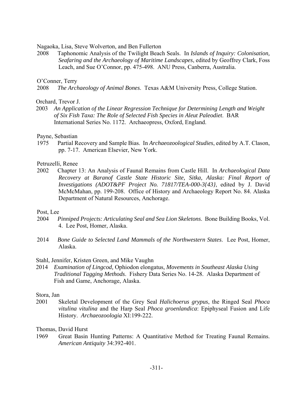Nagaoka, Lisa, Steve Wolverton, and Ben Fullerton

2008 Taphonomic Analysis of the Twilight Beach Seals. In *Islands of Inquiry: Colonisation, Seafaring and the Archaeology of Maritime Landscapes*, edited by Geoffrey Clark, Foss Leach, and Sue O'Connor, pp. 475-498. ANU Press, Canberra, Australia.

# O'Conner, Terry

2008 *The Archaeology of Animal Bones*. Texas A&M University Press, College Station.

# Orchard, Trevor J.

2003 *An Application of the Linear Regression Technique for Determining Length and Weight of Six Fish Taxa: The Role of Selected Fish Species in Aleut Paleodiet*. BAR International Series No. 1172. Archaeopress, Oxford, England.

#### Payne, Sebastian

1975 Partial Recovery and Sample Bias. In *Archaeozoological Studies*, edited by A.T. Clason, pp. 7-17. American Elsevier, New York.

#### Petruzelli, Renee

2002 Chapter 13: An Analysis of Faunal Remains from Castle Hill. In *Archaeological Data Recovery at Baranof Castle State Historic Site, Sitka, Alaska: Final Report of Investigations (ADOT&PF Project No. 71817/TEA-000-3{43}*, edited by J. David McMcMahan, pp. 199-208. Office of History and Archaeology Report No. 84. Alaska Department of Natural Resources, Anchorage.

#### Post, Lee

- 2004 *Pinniped Projects: Articulating Seal and Sea Lion Skeletons*. Bone Building Books, Vol. 4. Lee Post, Homer, Alaska.
- 2014 *Bone Guide to Selected Land Mammals of the Northwestern States*. Lee Post, Homer, Alaska.

#### Stahl, Jennifer, Kristen Green, and Mike Vaughn

2014 *Examination of Lingcod,* Ophiodon elongatus*, Movements in Southeast Alaska Using Traditional Tagging Methods*. Fishery Data Series No. 14-28. Alaska Department of Fish and Game, Anchorage, Alaska.

# Stora, Jan

2001 Skeletal Development of the Grey Seal *Halichoerus grypus*, the Ringed Seal *Phoca vitulina vitulina* and the Harp Seal *Phoca groenlandica*: Epiphyseal Fusion and Life History. *Archaeozoologia* XI:199-222.

# Thomas, David Hurst

1969 Great Basin Hunting Patterns: A Quantitative Method for Treating Faunal Remains. *American Antiquity* 34:392-401.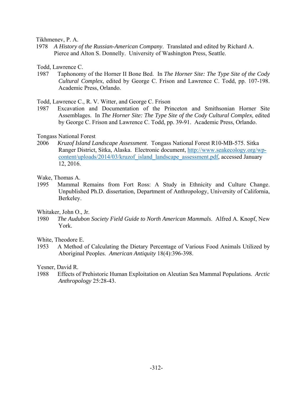Tikhmenev, P. A.

1978 *A History of the Russian-American Company*. Translated and edited by Richard A. Pierce and Alton S. Donnelly. University of Washington Press, Seattle.

Todd, Lawrence C.

1987 Taphonomy of the Horner II Bone Bed. In *The Horner Site: The Type Site of the Cody Cultural Complex*, edited by George C. Frison and Lawrence C. Todd, pp. 107-198. Academic Press, Orlando.

Todd, Lawrence C., R. V. Witter, and George C. Frison

1987 Excavation and Documentation of the Princeton and Smithsonian Horner Site Assemblages. In *The Horner Site: The Type Site of the Cody Cultural Complex*, edited by George C. Frison and Lawrence C. Todd, pp. 39-91. Academic Press, Orlando.

#### Tongass National Forest

2006 *Kruzof Island Landscape Assessment*. Tongass National Forest R10-MB-575. Sitka Ranger District, Sitka, Alaska. Electronic document, http://www.seakecology.org/wpcontent/uploads/2014/03/kruzof\_island\_landscape\_assessment.pdf, accessed January 12, 2016.

Wake, Thomas A.

1995 Mammal Remains from Fort Ross: A Study in Ethnicity and Culture Change. Unpublished Ph.D. dissertation, Department of Anthropology, University of California, Berkeley.

Whitaker, John O., Jr.

1980 *The Audubon Society Field Guide to North American Mammals*. Alfred A. Knopf, New York.

White, Theodore E.

1953 A Method of Calculating the Dietary Percentage of Various Food Animals Utilized by Aboriginal Peoples. *American Antiquity* 18(4):396-398.

Yesner, David R.

1988 Effects of Prehistoric Human Exploitation on Aleutian Sea Mammal Populations. *Arctic Anthropology* 25:28-43.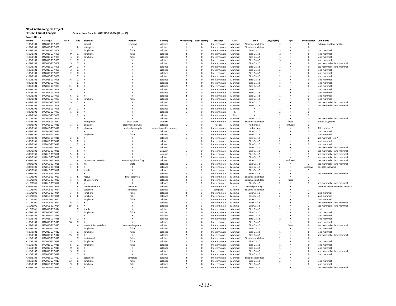#### **NEVA Archaeological Project SIT‐963 Faunal Analysis Excludes bone from Cat #UA2015‐237‐016 (10 cm BS)**

| South Block |                |                |                           |                           |                           |                          |                          |                     |                 |        |                           |                          |                           |              |                                |
|-------------|----------------|----------------|---------------------------|---------------------------|---------------------------|--------------------------|--------------------------|---------------------|-----------------|--------|---------------------------|--------------------------|---------------------------|--------------|--------------------------------|
| Square      | Catalog#       | <b>NISP</b>    | Side                      | Element                   | Portion                   | <b>Burning</b>           | Weathering               | <b>Root Etching</b> | <b>Breakage</b> | Class  | Taxon                     | Length (cm)              | Age                       | Modification | Comments                       |
| N109/E101   | UA2015-237-008 | $\mathbf{1}$   | - n                       | cranial                   | temporal                  | calcined                 | $\mathbf{1}$             | $\Omega$            | Indeterminate   | Mammal | Sitka blacktail deer      |                          | $\mathsf{x}$              | $\Omega$     | external auditory meatus       |
| N109/E101   | UA2015-237-008 | $\mathbf{1}$   | $\mathbb{R}$              | astragalus                | x                         | calcined                 | $\mathbf{1}$             | $\Omega$            | Indeterminate   | Mammal | Sitka blacktail deer      | $\overline{\phantom{a}}$ | $\mathsf{x}$              | $\Omega$     |                                |
|             | UA2015-237-008 | 3              | X                         |                           | flake                     | calcined                 | $\overline{\phantom{a}}$ | $\mathsf 0$         | Indeterminate   | Mammal | Size Class 5              | ર                        | $\mathbf x$               | $\Omega$     | land mammal                    |
| N109/E101   |                |                |                           | longbone                  |                           |                          |                          |                     |                 |        |                           |                          |                           |              |                                |
| N109/E101   | UA2015-237-008 | 9              | $\pmb{\times}$            | longbone                  | flake                     | calcined                 | $\overline{\phantom{a}}$ | 0                   | Indeterminate   | Mammal | Size Class 5              | $\mathcal{P}$            | X                         | $\Omega$     | land mammal                    |
| N109/E101   | UA2015-237-008 | $\overline{4}$ | $\pmb{\times}$            | longbone                  | flake                     | calcined                 | $\overline{2}$           | 0                   | Indeterminate   | Mammal | Size Class 5              |                          | X                         | $\mathbf 0$  | land mammal                    |
| N109/E101   | UA2015-237-008 | $\overline{2}$ | $\boldsymbol{\mathsf{X}}$ | X                         | $\boldsymbol{\mathsf{x}}$ | calcined                 | $\overline{1}$           | $\Omega$            | Indeterminate   | Mammal | Size Class 5              | $\overline{3}$           | $\boldsymbol{\mathsf{x}}$ | $\Omega$     | land mammal                    |
| N109/E101   | UA2015-237-008 | 5              | X                         | X                         | $\boldsymbol{\mathsf{x}}$ | calcined                 | $\overline{\phantom{a}}$ | 0                   | Indeterminate   | Mammal | Size Class 5              | $\overline{\phantom{a}}$ | $\boldsymbol{\mathsf{x}}$ | $\Omega$     | sea mammal or land mammal      |
| N109/E101   | UA2015-237-008 | 19             | $\boldsymbol{\mathsf{x}}$ | X                         | $\boldsymbol{\mathsf{x}}$ | calcined                 | $\overline{1}$           | $\Omega$            | Indeterminate   | Mammal | Size Class 5              | $\mathbf{1}$             | $\boldsymbol{\mathsf{x}}$ | $\Omega$     | sea mammal or land mamma       |
| N109/E101   | UA2015-237-008 | $\mathbf{3}$   | $\boldsymbol{\mathsf{x}}$ | $\boldsymbol{\mathsf{x}}$ | $\boldsymbol{\mathsf{x}}$ | calcined                 | $\mathbf{1}$             | $\Omega$            | Indeterminate   | Mammal | Size Class 5              | $\overline{\phantom{a}}$ | X                         | $\Omega$     | land mammal                    |
| N109/E101   | UA2015-237-008 | $\overline{2}$ | $\boldsymbol{\mathsf{x}}$ | X                         | x                         | calcined                 | 1                        | $^{\circ}$          | Indeterminate   | Mammal | Size Class 5              | $\mathbf{1}$             | X                         | 0            | land mammal                    |
|             |                |                |                           |                           |                           |                          |                          |                     |                 |        |                           |                          |                           |              |                                |
| N109/E101   | UA2015-237-008 | $\mathbf 1$    | $\boldsymbol{\mathsf{x}}$ | X                         | $\boldsymbol{\mathsf{x}}$ | calcined                 | $\overline{2}$           | $\mathsf 0$         | Indeterminate   | Mammal | Size Class 5              | $\overline{\phantom{a}}$ | X                         | $\mathbf 0$  | land mammal                    |
| N109/E101   | UA2015-237-008 | 6              | $\boldsymbol{\mathsf{x}}$ | $\boldsymbol{\mathsf{x}}$ | $\boldsymbol{\mathsf{x}}$ | calcined                 | $\overline{z}$           | $\Omega$            | Indeterminate   | Mammal | Size Class 5              | $\overline{\phantom{a}}$ | X                         | $\Omega$     | land mammal                    |
| N109/E101   | UA2015-237-008 | $\sqrt{4}$     | X                         | X                         | $\boldsymbol{\mathsf{x}}$ | calcined                 | $\mathcal{P}$            | $\mathbf 0$         | Indeterminate   | Mammal | Size Class 5              | $\mathbf{1}$             | X                         | $\Omega$     | land mammal                    |
| N109/E101   | UA2015-237-008 | $11\,$         | $\boldsymbol{\mathsf{x}}$ | $\boldsymbol{\mathsf{x}}$ | $\boldsymbol{\mathsf{x}}$ | calcined                 | $\overline{2}$           | $\circ$             | Indeterminate   | Mammal | Size Class 5              | $\overline{\phantom{a}}$ | $\boldsymbol{\lambda}$    | $\mathbf 0$  | land mammal                    |
| N109/E101   | UA2015-237-008 | 20             | $\boldsymbol{\mathsf{x}}$ | X                         | $\boldsymbol{\mathsf{x}}$ | calcined                 | $\mathcal{P}$            | $\Omega$            | Indeterminate   | Mammal | Size Class 5              | $\mathbf{1}$             | $\boldsymbol{\lambda}$    | $\Omega$     | land mamma                     |
| N109/E101   | UA2015-237-008 | $\overline{7}$ | $\boldsymbol{\mathsf{x}}$ | X                         | $\boldsymbol{\mathsf{x}}$ | calcined                 | $\overline{z}$           | $\mathbf 0$         | Indeterminate   | Mammal | Size Class 5              | $\overline{2}$           | $\lambda$                 | $\mathbf 0$  | land mammal                    |
| N109/E101   | UA2015-237-008 | 6              | $\boldsymbol{\mathsf{x}}$ | X                         | $\boldsymbol{\mathsf{x}}$ | calcined                 | $\overline{z}$           | $\mathbf 0$         | Indeterminate   | Mammal | Size Class 5              | $\mathbf{1}$             | X                         | $\Omega$     | land mammal                    |
|             |                |                |                           |                           |                           |                          |                          |                     |                 |        |                           |                          |                           |              |                                |
| N109/E101   | UA2015-237-008 | $\mathbf{1}$   | $\boldsymbol{\mathsf{x}}$ | longbone                  | flake                     | calcined                 | 1                        | $\mathbf 0$         | Indeterminate   | Mammal | Size Class 5              | $\mathbf{3}$             | X                         | 0            | land mammal                    |
| N109/E101   | UA2015-237-008 | $\overline{9}$ | $\boldsymbol{\mathsf{x}}$ | $\boldsymbol{\mathsf{x}}$ | $\boldsymbol{\mathsf{x}}$ | calcined                 | $\mathcal{P}$            | $\circ$             | Indeterminate   | Mammal | Size Class 5              | $\overline{2}$           | X                         | $\mathbf 0$  | sea mammal or land mammal      |
| N109/E101   | UA2015-237-008 | 2              | $\pmb{\times}$            | $\boldsymbol{\mathsf{x}}$ | $\boldsymbol{\mathsf{x}}$ | calcined                 | $\mathcal{L}$            | $\Omega$            | Indeterminate   | Mammal | Size Class 5              | $\mathbf{1}$             | X                         | $\Omega$     | sea mammal or land mammal      |
| N109/E101   | UA2015-237-008 | 14             | $\boldsymbol{\mathsf{x}}$ | X                         | $\boldsymbol{\mathsf{x}}$ | calcined                 | $\mathcal{P}$            | $\Omega$            | Indeterminate   | Mammal | x                         | $\mathbf{1}$             | X                         | $\Omega$     |                                |
| N109/E101   | UA2015-237-008 | $\mathbf 1$    | $\boldsymbol{\mathsf{x}}$ | X                         | $\boldsymbol{\mathsf{x}}$ | calcined                 | $\mathbf{1}$             | $\mathsf 0$         | Indeterminate   | Х      | $\boldsymbol{\mathsf{x}}$ | $\overline{\phantom{a}}$ | X                         | $\mathbf 0$  |                                |
| N109/E101   | UA2015-237-008 | $\mathbf{1}$   | $\boldsymbol{\mathsf{x}}$ | X                         | $\boldsymbol{\mathsf{x}}$ | calcined                 | 1                        | $\mathbf 0$         | Indeterminate   | Fish   | $\boldsymbol{\mathsf{x}}$ | $\overline{\phantom{a}}$ | X                         | $\Omega$     |                                |
| N110/E101   | UA2015-237-009 | 1              | $\boldsymbol{\mathsf{x}}$ | X                         | $\boldsymbol{\mathsf{x}}$ | calcined                 |                          | $^{\circ}$          | Indeterminate   | Mammal | Size Class 5              |                          | X                         | $\circ$      | sea mammal or land mammal      |
|             |                |                |                           |                           |                           |                          |                          |                     |                 |        |                           |                          |                           |              |                                |
| N109/E102   | UA2015-237-010 | $\mathbf{1}$   | $\boldsymbol{\mathsf{x}}$ | metapodial                | distal shaft              | unburnt                  |                          | $\mathbf 0$         | Indeterminate   | Mammal | Sitka blacktail deer      | $\overline{\mathbf{3}}$  | fused                     | $\circ$      | in two fragments               |
| N108/E101   | UA2015-237-011 | $\overline{1}$ | $\boldsymbol{\mathsf{x}}$ | phalanx                   | proximal epiphysis        | calcined                 | $\mathbf{1}$             | $\Omega$            | fusion          | Mammal | harbor seal               | $\overline{1}$           | unfused                   | $\Omega$     |                                |
| N108/E101   | UA2015-237-011 | <sup>1</sup>   | $\boldsymbol{\mathsf{x}}$ | phalanx                   | proximal epiphysis        | stained/possible burning | $\mathbf{1}$             | $\Omega$            | Indeterminate   | Mammal | harbor seal               | $\overline{\phantom{a}}$ | X                         | $\Omega$     | Third phalanx?                 |
| N108/E101   | UA2015-237-011 | $\mathbf{1}$   | $\mathsf X$               | $\mathbf{x}$              | x                         | calcined                 | 1                        | $\Omega$            | Indeterminate   | Mammal | Size Class 5              | -5                       | $\boldsymbol{\lambda}$    | $\Omega$     | land mamma                     |
| N108/E101   | UA2015-237-011 | $\mathbf{1}$   | X                         | longbone                  | flake                     | calcined                 | $\mathcal{P}$            | $^{\circ}$          | Indeterminate   | Mammal | Size Class 5              | $\overline{2}$           | X                         | $\Omega$     | land mamma                     |
| N108/E101   | UA2015-237-011 | $\overline{2}$ | $\boldsymbol{\mathsf{x}}$ | X                         | $\boldsymbol{\mathsf{x}}$ | calcined                 | $\mathbf{1}$             | 0                   | Indeterminate   | Mammal | Size Class 5              | $\overline{2}$           | X                         | $\mathbf 0$  | sea mammal - seal?             |
| N108/E101   | UA2015-237-011 | 5              | X                         | $\boldsymbol{\mathsf{x}}$ | $\boldsymbol{\mathsf{x}}$ | calcined                 | $\mathbf{1}$             | $\Omega$            | Indeterminate   | Mammal | Size Class 5              | $\overline{2}$           | X                         | $\Omega$     | land mammal                    |
|             |                |                | $\boldsymbol{\mathsf{x}}$ | $\boldsymbol{\mathsf{x}}$ | $\boldsymbol{\mathsf{x}}$ |                          | $\mathbf{1}$             | 0                   |                 |        |                           |                          | X                         | $\Omega$     |                                |
| N108/E101   | UA2015-237-011 | $\mathbf{1}$   |                           |                           |                           | calcined                 |                          |                     | Indeterminate   | Mammal | Size Class 5              | -3                       |                           |              | land mammal                    |
| N108/E101   | UA2015-237-011 | 6              | $\boldsymbol{\mathsf{x}}$ | $\boldsymbol{\mathsf{x}}$ | $\boldsymbol{\mathsf{x}}$ | calcined                 | $\mathbf{1}$             | $\mathbf 0$         | Indeterminate   | Mammal | Size Class 5              | $\overline{2}$           | X                         | $\Omega$     | sea mammal or land mammal      |
| N108/E101   | UA2015-237-011 | $\overline{a}$ | $\boldsymbol{\mathsf{x}}$ | $\boldsymbol{\mathsf{x}}$ | $\boldsymbol{\mathsf{x}}$ | unburnt                  | $\mathbf{1}$             | 0                   | Indeterminate   | Mammal | Size Class 5              | $\overline{z}$           | X                         | $\Omega$     | sea mammal or land mammal      |
| N108/E101   | UA2015-237-011 | 5              | X                         | $\boldsymbol{\mathsf{x}}$ | $\boldsymbol{\mathsf{x}}$ | unburnt                  | $\mathbf{1}$             | 0                   | Indeterminate   | Mammal | Size Class 5              | $\mathbf{1}$             | X                         | $^{\circ}$   | sea mammal or land mammal      |
| N108/E101   | UA2015-237-011 | 9              | $\boldsymbol{\mathsf{x}}$ | $\boldsymbol{\mathsf{x}}$ | $\boldsymbol{\mathsf{x}}$ | calcined                 | $\mathbf{1}$             | $\mathbf 0$         | Indeterminate   | Mammal | Size Class 5              | 1                        | X                         | $\circ$      | sea mammal or land mammal      |
| N108/E101   | UA2015-237-011 | 1              | $\overline{A}$            | unidentified vertebra     | centrum epiphysis frag    | calcined                 | $\mathbf{1}$             | $\Omega$            | Indeterminate   | Mammal | Size Class 5              | $\overline{2}$           | unfused                   | $\Omega$     | sea mammal or land mammal      |
| N108/E101   | UA2015-237-011 | $\mathbf{1}$   | $\boldsymbol{\mathsf{x}}$ | rib                       | shaft                     | calcined                 | $\mathbf{1}$             | $\circ$             | Indeterminate   | Mammal | Size Class 5              | $\overline{2}$           | $\boldsymbol{\mathsf{x}}$ | $\circ$      | sea mammal or land mammal      |
| N108/F101   | UA2015-237-011 | $\overline{1}$ | $\boldsymbol{\mathsf{x}}$ | $\boldsymbol{\mathsf{x}}$ | $\boldsymbol{\mathsf{x}}$ | calcined                 | $\mathbf{1}$             | $\Omega$            | Indeterminate   | Mammal | Size Class 5              | $\overline{2}$           | X                         | unknown      | possible cutmarks              |
|             |                |                |                           |                           |                           |                          |                          |                     |                 |        |                           |                          |                           |              |                                |
| N108/E101   | UA2015-237-011 | $\mathbf{1}$   | $\boldsymbol{\mathsf{x}}$ | tooth                     | $\boldsymbol{\mathsf{x}}$ | calcined                 | $\mathbf{1}$             | $\Omega$            | Indeterminate   | Mammal | Size Class 5              | $\mathbf{1}$             | X                         | $\Omega$     |                                |
| N108/E101   | UA2015-237-011 | $\mathbf{1}$   | $\boldsymbol{\mathsf{x}}$ | $\boldsymbol{\mathsf{x}}$ | $\boldsymbol{\mathsf{x}}$ | calcined                 | $\overline{2}$           | $\mathbf 0$         | Indeterminate   | Mammal | Size Class 5              | $\Delta$                 | X                         | $\mathbf 0$  | sea mammal or land mammal      |
| N110/E101   | UA2015-237-012 | $\mathbf{1}$   | $\mathsf{R}$              | radius                    | distal epiphysis          | calcined                 | $\mathcal{D}$            | $\mathbf 0$         | Indeterminate   | Mammal | Sitka blacktail deer      | $\mathbf{3}$             | X                         | $\Omega$     |                                |
| N110/E101   | UA2015-237-012 | $\mathbf{1}$   | $\overline{A}$            | atlas vertebra            | $\boldsymbol{\mathsf{x}}$ | calcined                 | $\overline{2}$           | $\mathbf 0$         | Indeterminate   | Mammal | Sitka blacktail deer      | $\overline{\mathbf{3}}$  | fused                     | $\Omega$     |                                |
| N110/E101   | UA2015-237-012 | $\mathbf{1}$   | $\pmb{\chi}$              | $\boldsymbol{\mathsf{x}}$ | $\boldsymbol{\mathsf{x}}$ | calcined                 | $\overline{\phantom{a}}$ | $\circ$             | Indeterminate   | Mammal | Size Class 5              | $\overline{2}$           | $\lambda$                 | $\mathbf 0$  | sea mammal or land mammal      |
| N109/E102   | UA2015-237-013 | $\overline{1}$ | $\overline{A}$            | caudal vertebra           | centrum                   | calcined                 | $\mathbf{1}$             | $\Omega$            | Indeterminate   | Fish   | Oncorhychus sp.           | $\overline{1}$           | X                         | $\Omega$     | centrum measurements: height = |
|             | UA2015-237-014 | 1              | X                         | sesamoid                  |                           | calcined                 | $\mathbf{1}$             | $\Omega$            |                 | Mammal | Sitka blacktail deer      | $\mathbf{1}$             | x                         | $\Omega$     |                                |
| N110/E101   |                |                |                           |                           | complete                  |                          |                          |                     | complete        |        |                           |                          |                           |              |                                |
| N110/E101   | UA2015-237-014 | 1              | X                         | longbone                  | flake                     | calcined                 | $\overline{\phantom{a}}$ | 0                   | Indeterminate   | Mammal | Size Class 5              | $\mathbf{3}$             |                           | $\mathbf 0$  | land mammal                    |
| N110/E101   | UA2015-237-014 | $\overline{2}$ | $\boldsymbol{\mathsf{x}}$ | longbone                  | flake                     | calcined                 | $\mathcal{P}$            | $\mathbf 0$         | Indeterminate   | Mammal | Size Class 5              | $\overline{\phantom{a}}$ |                           | $\mathbf 0$  | land mammal                    |
| N110/E101   | UA2015-237-014 | 5              | $\boldsymbol{\mathsf{x}}$ | longbone                  | flake                     | calcined                 | $\mathcal{P}$            | 0                   | Indeterminate   | Mammal | Size Class 5              |                          |                           | $^{\circ}$   | land mamma                     |
| N110/E101   | UA2015-237-014 | 9              | $\boldsymbol{\mathsf{x}}$ | $\boldsymbol{\mathsf{x}}$ | $\boldsymbol{\mathsf{x}}$ | calcined                 | $\overline{\phantom{a}}$ | $\Omega$            | Indeterminate   | Mammal | Size Class 5              | $\overline{\phantom{a}}$ |                           | $\Omega$     | sea mammal or land mammal      |
| N110/E101   | UA2015-237-014 | 10             | X                         | $\boldsymbol{\mathsf{x}}$ | $\boldsymbol{\mathsf{x}}$ | calcined                 | $\overline{\phantom{a}}$ | $\Omega$            | Indeterminate   | Mammal | Size Class 5              | $\mathbf{1}$             | $\mathbf x$               | $\Omega$     | sea mammal or land mammal      |
| N110/E101   | UA2015-237-014 | <sup>1</sup>   | $\boldsymbol{\mathsf{X}}$ | tooth                     | $\boldsymbol{\mathsf{x}}$ | calcined                 | $\overline{\phantom{a}}$ | $\Omega$            | Indeterminate   | Mammal | Size Class 5              | $\overline{\phantom{a}}$ | X                         | $\Omega$     | root                           |
|             |                | -1             | $\boldsymbol{\mathsf{x}}$ | longbone                  | flake                     | calcined                 | $\overline{1}$           | $\Omega$            | Indeterminate   | Mammal | Size Class 5              | $\overline{1}$           | $\mathbf x$               | $\Omega$     | land mamma                     |
| N109/E101   | UA2015-237-015 |                |                           |                           |                           |                          |                          |                     |                 |        |                           |                          |                           |              |                                |
| N109/E101   | UA2015-237-015 | $\mathbf{1}$   | $\pmb{\times}$            | X                         | $\boldsymbol{\mathsf{x}}$ | calcined                 | $\mathbf{1}$             | 0                   | Indeterminate   | Mammal | Size Class 5              | 3                        | X                         | $\Omega$     | land mammal                    |
| N109/E101   | UA2015-237-015 | 5              | $\pmb{\times}$            | X                         | $\boldsymbol{\mathsf{x}}$ | calcined                 | $\overline{1}$           | 0                   | Indeterminate   | Mammal | Size Class 5              | $\overline{2}$           | X                         | 0            | land mammal                    |
| N109/E101   | UA2015-237-015 | 10             | $\pmb{\times}$            | $\boldsymbol{\mathsf{x}}$ | $\boldsymbol{\mathsf{x}}$ | calcined                 | $\overline{1}$           | $\Omega$            | Indeterminate   | Mammal | Size Class 5              | $\mathbf{1}$             | $\boldsymbol{\mathsf{x}}$ | $\Omega$     | land mammal                    |
| N109/E101   | UA2015-237-015 | $\mathbf{1}$   | $\overline{A}$            | unidentified vertebra     | centrum fragment          | calcined                 | $\mathbf{1}$             | 0                   | Indeterminate   | Mammal | Size Class 5              | $\overline{1}$           | fused                     | $\Omega$     | sea mammal or land mammal      |
| N108/E101   | UA2015-237-017 | $\overline{2}$ | $\boldsymbol{\mathsf{x}}$ | longbone                  | flake                     | calcined                 | $\overline{\phantom{a}}$ | 0                   | Indeterminate   | Mammal | Size Class 5              | $\overline{\phantom{a}}$ | X                         | $\Omega$     | land mammal                    |
| N108/E101   | UA2015-237-017 | $\overline{a}$ | X                         | longbone                  | flake                     | calcined                 | $\overline{\phantom{a}}$ | $\Omega$            | Indeterminate   | Mammal | Size Class 5              | $\mathbf{1}$             | X                         | $\Omega$     | land mammal                    |
|             |                |                |                           | X                         | X                         |                          | $\overline{2}$           | $^{\circ}$          |                 |        |                           |                          | X                         | $\circ$      |                                |
| N108/E101   | UA2015-237-017 | 15             | Х                         |                           |                           | calcined                 |                          |                     | Indeterminate   | Mammal | Size Class 5              | $\overline{\phantom{a}}$ |                           | $\Omega$     | sea mammal or land mammal      |
| N110/E102   | UA2015-237-018 | $\mathbf{1}$   | $\boldsymbol{\mathsf{x}}$ | metatarsa                 | flake                     | calcined                 | 1                        | $\mathbf 0$         | Indeterminate   | Mammal | Sitka blacktail deer      |                          | X                         |              |                                |
| N110/E102   | UA2015-237-018 | 9              | $\boldsymbol{\mathsf{x}}$ | longbone                  | flake                     | calcined                 | $\mathbf{1}$             | $^{\circ}$          | Indeterminate   | Mammal | Size Class 5              | $\overline{\phantom{a}}$ | X                         | $\Omega$     | land mammal                    |
| N110/E102   | UA2015-237-018 | 5              | $\boldsymbol{\mathsf{x}}$ | longbone                  | flake                     | calcined                 | $\mathbf{1}$             | $\mathbf 0$         | Indeterminate   | Mammal | Size Class 5              | $\mathbf{1}$             | $\boldsymbol{\mathsf{x}}$ | $\mathbf 0$  | land mammal                    |
| N110/E102   | UA2015-237-018 | $\mathbf{q}$   | $\boldsymbol{\mathsf{x}}$ | $\boldsymbol{\mathsf{x}}$ | $\boldsymbol{\mathsf{x}}$ | calcined                 | $\mathbf{1}$             | $\mathbf{0}$        | Indeterminate   | Mammal | Size Class 5              | $\mathbf{1}$             | $\boldsymbol{\mathsf{x}}$ | $\Omega$     | land mammal                    |
| N110/E102   | UA2015-237-018 | 3              | $\boldsymbol{\mathsf{x}}$ | X                         | $\boldsymbol{\mathsf{x}}$ | calcined                 | $\mathbf{1}$             | $\mathbf 0$         | Indeterminate   | Mammal | Size Class 5              | $\overline{1}$           | $\lambda$                 | $\Omega$     | sea mammal or land mammal      |
| N110/E102   | UA2015-237-018 | $\mathbf{1}$   | $\boldsymbol{\mathsf{x}}$ | $\boldsymbol{\mathsf{x}}$ | $\boldsymbol{\mathsf{x}}$ | calcined                 | $\mathbf{1}$             | $\mathbf 0$         | Indeterminate   | Mammal | Size Class 5              | $\overline{\phantom{a}}$ | X                         | $\mathbf 0$  | land mammal                    |
| N108/E102   | UA2015-237-019 | $\mathbf{1}$   | $\boldsymbol{\mathsf{x}}$ | sesamoio                  | complete                  | calcined                 | $\overline{z}$           | $\mathbf 0$         | Indeterminate   | Mammal | Sitka blacktail deer      | $\overline{\phantom{a}}$ | X                         | $\Omega$     |                                |
|             | UA2015-237-019 | 13             | $\boldsymbol{\mathsf{x}}$ |                           | flake                     | calcined                 | $\mathcal{P}$            | 0                   | Indeterminate   | Mammal | Size Class 5              | $\mathcal{P}$            |                           | $\circ$      | land mamma                     |
| N108/E102   |                |                |                           | longbone                  |                           |                          |                          |                     |                 |        |                           |                          |                           |              |                                |
| N108/E102   | UA2015-237-019 | 9              | $\pmb{\times}$            | longbone                  | flake                     | calcined                 | $\mathcal{P}$            | $\mathbf{0}$        | Indeterminate   | Mammal | Size Class 5              | $\mathbf{1}$             | $\boldsymbol{\mathsf{x}}$ | $\Omega$     | land mammal                    |
| N108/E102   | UA2015-237-019 | $\Delta$       | $\boldsymbol{\mathsf{x}}$ | $\boldsymbol{\mathsf{x}}$ | $\mathbf{x}$              | calcined                 | $\mathcal{L}$            | $\Omega$            | Indeterminate   | Mammal | Size Class 5              | $\overline{\phantom{a}}$ | $\mathbf x$               | $\Omega$     | sea mammal or land mammal      |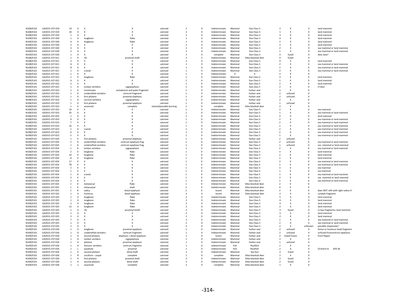| N108/E102 | UA2015-237-019 | 10                       | $\mathsf{x}$              | $\boldsymbol{\mathsf{x}}$ | $\times$                      | calcined                 | $\overline{\phantom{a}}$ | $\Omega$       | Indeterminate | Mammal                    | Size Class 5         | $\mathcal{P}$            | X                         | $\Omega$    | land mamma                          |
|-----------|----------------|--------------------------|---------------------------|---------------------------|-------------------------------|--------------------------|--------------------------|----------------|---------------|---------------------------|----------------------|--------------------------|---------------------------|-------------|-------------------------------------|
| N108/E102 | UA2015-237-019 | 34                       | X                         | $\mathsf{x}$              | $\boldsymbol{\mathsf{x}}$     | calcined                 | $\overline{\phantom{a}}$ | $\Omega$       | Indeterminate | Mammal                    | Size Class 5         | $\mathbf{1}$             | $\boldsymbol{\mathsf{x}}$ | $\Omega$    | land mammal                         |
| N108/E102 | UA2015-237-019 | $\mathbf{1}$             | $\boldsymbol{\mathsf{x}}$ | $\mathbf x$               | $\boldsymbol{\mathsf{x}}$     | calcined                 | $\mathcal{P}$            | $\Omega$       | Indeterminate | Mammal                    | Size Class 5         | 3                        | $\boldsymbol{\mathsf{x}}$ | $\Omega$    | land mamma                          |
|           |                |                          |                           |                           |                               |                          |                          | $\Omega$       |               |                           |                      |                          |                           | $\Omega$    |                                     |
| N109/E101 | UA2015-237-020 | $\mathbf{1}$             | $\boldsymbol{\mathsf{x}}$ | longbone                  | flake                         | calcined                 | $\overline{1}$           |                | Indeterminate | Mammal                    | Size Class 5         | $\overline{4}$           | $\boldsymbol{\mathsf{x}}$ |             | land mammal                         |
| N109/E101 | UA2015-237-020 | $\overline{4}$           | X                         | longbone                  | flake                         | calcined                 | $\mathbf{1}$             | $\mathbf 0$    | Indeterminate | Mammal                    | Size Class 5         | $\mathcal{P}$            | $\boldsymbol{\mathsf{x}}$ | $^{\circ}$  | land mammal                         |
| N109/E101 | UA2015-237-020 | $\overline{2}$           | $\boldsymbol{\mathsf{X}}$ | X                         | Х                             | calcined                 | $\overline{\phantom{a}}$ | $\mathbf 0$    | Indeterminate | Mammal                    | Size Class 5         | $\overline{\mathbf{3}}$  | $\boldsymbol{\mathsf{x}}$ | $^{\circ}$  | land mammal                         |
| N109/E101 | UA2015-237-020 | $\overline{\mathbf{3}}$  | $\boldsymbol{\mathsf{X}}$ | X                         | $\boldsymbol{\mathsf{x}}$     | calcined                 | $\overline{2}$           | $\mathbf 0$    | Indeterminate | Mammal                    | Size Class 5         | $\mathcal{P}$            | $\boldsymbol{\mathsf{x}}$ | $^{\circ}$  | sea mammal or land mammal           |
| N109/E101 | UA2015-237-020 | $\overline{2}$           | X                         | X                         | $\boldsymbol{\mathsf{x}}$     | calcined                 | $\overline{2}$           | $\mathbf 0$    | Indeterminate | Mammal                    | Size Class 5         | $\mathbf{1}$             | $\boldsymbol{\mathsf{x}}$ | $^{\circ}$  | sea mammal or land mammal           |
| N109/E101 | UA2015-237-020 | $1\,$                    | X                         | X                         | $\boldsymbol{\mathsf{x}}$     | calcined                 | $\mathbf{1}$             | $\mathbf 0$    | complete      | Mammal                    | Size Class 5         | $\overline{3}$           | fused                     | $\mathbf 0$ | dew claw?                           |
| N108/E101 | UA2015-237-021 | $1\,$                    | X                         | rib                       | proximal shaft                | calcined                 | $\overline{z}$           | $\overline{2}$ | Indeterminate | Mammal                    | Sitka blacktail deer | $\overline{a}$           | fused                     | $^{\circ}$  |                                     |
|           |                |                          |                           |                           |                               |                          |                          |                |               |                           |                      |                          |                           |             |                                     |
| N108/E101 | UA2015-237-021 | $\overline{2}$           | $\boldsymbol{\mathsf{x}}$ | X                         | $\boldsymbol{\mathsf{x}}$     | calcined                 | $\overline{2}$           | $\mathbf 0$    | Indeterminate | Mammal                    | Size Class 5         | $\overline{a}$           | $\boldsymbol{\mathsf{x}}$ | $^{\circ}$  | land mammal                         |
| N108/E101 | UA2015-237-021 | 6                        | $\pmb{\times}$            | X                         | X                             | calcined                 | $\mathbf{1}$             | $\Omega$       | Indeterminate | Mammal                    | Size Class 5         | $\overline{\phantom{a}}$ | $\boldsymbol{\mathsf{x}}$ | $\Omega$    | sea mammal or land mammal           |
| N108/E101 | UA2015-237-021 | 8                        | $\pmb{\times}$            | X                         | $\boldsymbol{\mathsf{x}}$     | calcined                 | $\overline{1}$           | $\Omega$       | Indeterminate | Mammal                    | Size Class 5         | $\overline{1}$           | $\boldsymbol{\mathsf{x}}$ | $\Omega$    | sea mammal or land mammal           |
| N108/E101 | UA2015-237-021 | $\mathbf{1}$             | $\pmb{\times}$            | cranial                   | $\boldsymbol{\mathsf{x}}$     | calcined                 | $\mathbf{1}$             | $\Omega$       | Indeterminate | Mammal                    | Size Class 5         | $\mathcal{P}$            | $\boldsymbol{\mathsf{x}}$ | $\Omega$    | sea mammal or land mammal           |
| N108/E101 | UA2015-237-021 | $\mathbf{1}$             | $\pmb{\times}$            | X                         | $\boldsymbol{\mathsf{x}}$     | calcined                 | $\overline{1}$           | $\Omega$       | Indeterminate | $\boldsymbol{\mathsf{x}}$ | X                    | $\overline{\phantom{a}}$ | $\boldsymbol{\mathsf{x}}$ | $\Omega$    |                                     |
|           |                |                          |                           |                           |                               |                          |                          |                |               |                           |                      |                          |                           |             |                                     |
| N109/E101 | UA2015-237-022 | $\overline{1}$           | $\boldsymbol{\mathsf{x}}$ | longbone                  | flake                         | calcined                 | $\mathbf{1}$             | $\Omega$       | Indeterminate | Mammal                    | Size Class 5         | $\overline{\mathbf{z}}$  | $\boldsymbol{\mathsf{x}}$ | $\Omega$    | land mammal                         |
| N109/E101 | UA2015-237-022 | 6                        | X                         | X                         | $\boldsymbol{\mathsf{x}}$     | calcined                 | $\mathbf{1}$             | $\Omega$       | Indeterminate | Mammal                    | Size Class 5         | $\overline{1}$           | $\boldsymbol{\mathsf{x}}$ | $\Omega$    | land mammal                         |
| N109/E101 | UA2015-237-022 | $\overline{2}$           | $\boldsymbol{\mathsf{X}}$ | X                         | $\mathbf{x}$                  | calcined                 | $\mathbf{1}$             | $\mathbf 0$    | Indeterminate | Mammal                    | Size Class 5         | $\mathcal{L}$            | $\boldsymbol{\mathsf{x}}$ | $^{\circ}$  | land mammal                         |
| N109/E101 | UA2015-237-022 | 1                        | A                         | lumbar vertebra           | zygopophysis                  | calcined                 | $\mathbf{1}$             | $\mathbf 0$    | Indeterminate | Mammal                    | Size class 5         | $\overline{\phantom{a}}$ | $\boldsymbol{\mathsf{x}}$ | $^{\circ}$  | cf deer                             |
| N108/E101 | UA2015-237-023 | <sup>1</sup>             | $\boldsymbol{\mathsf{x}}$ | innominate                |                               | calcined                 | $\mathbf{1}$             | $\Omega$       | Indeterminate | Mammal                    | harbor seal          | $\overline{\phantom{a}}$ | $\boldsymbol{\mathsf{x}}$ | $\Omega$    |                                     |
|           |                |                          |                           |                           | acetabulum and pubis fragment |                          |                          |                |               |                           |                      |                          |                           |             |                                     |
| N108/E101 | UA2015-237-023 | 2                        | A                         | unidentified vertebra     | centrum fragment              | calcined                 | $\mathbf{1}$             | $\Omega$       | Indeterminate | Mammal                    | harbor seal          | $\overline{2}$           | unfused                   | $\mathbf 0$ |                                     |
| N108/E101 | UA2015-237-023 | $\mathbf{1}$             | $\boldsymbol{\mathsf{x}}$ | first phalanx             | proximal diaphysis            | calcined                 | $\mathbf{1}$             | $\Omega$       | Indeterminate | Mammal                    | harbor seal          | $\overline{2}$           | unfused                   | $\circ$     |                                     |
| N108/E101 | UA2015-237-023 | $\mathbf{1}$             | А                         | cervical vertebra         | zygopophysis                  | calcined                 | $\overline{2}$           | $\circ$        | Indeterminate | Mammal                    | harbor seal          | $\overline{2}$           | X                         | $\circ$     |                                     |
| N108/E101 | UA2015-237-023 | $\mathbf{1}$             | X                         | first phalanx             | proximal epiphysis            | calcined                 | $\mathbf{1}$             | $\circ$        | Indeterminate | Mammal                    | harbor seal          | 1                        | unfused                   | $\circ$     |                                     |
| N108/E101 | UA2015-237-023 | <sup>1</sup>             | $\boldsymbol{\mathsf{x}}$ | sesamoid                  | complete                      | stained/possible burning | $\mathbf{1}$             | $\circ$        | complete      | Mammal                    | Sitka blacktail deer | $\overline{z}$           | $\times$                  | $\circ$     |                                     |
|           |                |                          |                           |                           |                               |                          |                          |                |               |                           |                      |                          |                           |             |                                     |
| N108/E101 | UA2015-237-023 | 19                       | X                         | X                         | X                             | calcined                 |                          | $\circ$        | Indeterminate | Mammal                    | Size Class 5         | $\overline{2}$           | X                         | $\circ$     | sea mammal                          |
| N108/E101 | UA2015-237-023 | 35                       | $\boldsymbol{\mathsf{x}}$ | X                         | X                             | calcined                 |                          | $^{\circ}$     | Indeterminate | Mammal                    | Size Class 5         | $\mathbf{1}$             | X                         | $^{\circ}$  | sea mammal or land mammal           |
| N108/E101 | UA2015-237-023 | <sup>1</sup>             | $\boldsymbol{\mathsf{x}}$ | X                         | $\boldsymbol{\mathsf{x}}$     | calcined                 |                          | $\circ$        | Indeterminate | Mammal                    | Size Class 5         | $\overline{\mathbf{3}}$  | X                         | $\mathbf 0$ | land mammal                         |
| N108/E101 | UA2015-237-023 | 9                        | $\boldsymbol{\mathsf{x}}$ | X                         | $\boldsymbol{\mathsf{x}}$     | calcined                 |                          | $^{\circ}$     | Indeterminate | Mammal                    | Size Class 5         | $\overline{\phantom{a}}$ | X                         | $\mathsf 0$ | sea mammal or land mammal           |
| N108/E101 | UA2015-237-023 | $\overline{7}$           | $\boldsymbol{\mathsf{x}}$ | X                         | $\boldsymbol{\mathsf{x}}$     | calcined                 |                          | $\Omega$       | Indeterminate | Mammal                    | Size Class 5         | $\overline{\phantom{a}}$ | $\boldsymbol{\mathsf{x}}$ | $\Omega$    | sea mammal or land mammal           |
|           |                |                          |                           |                           |                               |                          |                          |                |               |                           |                      |                          |                           |             |                                     |
| N108/E101 | UA2015-237-023 | 16                       | $\boldsymbol{\mathsf{x}}$ | X                         | $\boldsymbol{\mathsf{x}}$     | calcined                 |                          | $\Omega$       | Indeterminate | Mammal                    | Size Class 5         | $\mathbf{1}$             | $\boldsymbol{\mathsf{x}}$ | $\Omega$    | sea mammal or land mammal           |
| N108/E101 | UA2015-237-023 | $\mathbf{1}$             | $\overline{A}$            | crania                    | $\boldsymbol{\mathsf{x}}$     | calcined                 |                          | $\Omega$       | Indeterminate | Mammal                    | Size Class 5         | $\overline{\phantom{a}}$ | $\boldsymbol{\mathsf{x}}$ | $\Omega$    | sea mammal or land mammal           |
| N108/E101 | UA2015-237-023 | 6                        | $\boldsymbol{\mathsf{x}}$ | X                         | X                             | calcined                 |                          | $\mathbf 0$    | Indeterminate | Mammal                    | Size Class 5         | $\overline{2}$           | $\boldsymbol{\mathsf{x}}$ | $\circ$     | sea mammal or land mammal           |
| N108/E101 | UA2015-237-023 | 5                        | $\boldsymbol{\mathsf{x}}$ | $\boldsymbol{\mathsf{x}}$ | $\boldsymbol{\mathsf{x}}$     | calcined                 |                          | $\mathbf 0$    | Indeterminate | Mammal                    | Size Class 5         | $\mathbf{1}$             | $\boldsymbol{\mathsf{x}}$ | $\circ$     | sea mammal or land mammal           |
| N108/E101 | UA2015-237-024 | $\mathbf{1}$             | $\boldsymbol{\mathsf{x}}$ | first phalanx             | proximal diaphysis            | calcined                 | 1                        | $\mathbf 0$    | Indeterminate | Mammal                    | harbor seal          | $\overline{2}$           | unfused                   | $\circ$     |                                     |
|           |                |                          |                           |                           |                               |                          |                          |                |               |                           |                      |                          |                           |             |                                     |
| N108/E101 | UA2015-237-024 | $\overline{2}$           | $\overline{A}$            | unidentified vertebra     | centrum epiphysis frag        | calcined                 | 1                        | $\mathbf 0$    | Indeterminate | Mammal                    | Size Class 5         | $\overline{2}$           | unfused                   | $\circ$     | sea mammal or land mammal           |
| N108/E101 | UA2015-237-024 | <sup>1</sup>             | $\overline{A}$            | unidentified vertebra     | centrum epiphysis frag        | calcined                 | $\mathbf{1}$             | $\Omega$       | Indeterminate | Mammal                    | Size Class 5         | $\mathbf{1}$             | unfused                   | $\Omega$    | sea mammal or land mammal           |
| N108/E101 | UA2015-237-024 | $\mathbf{1}$             | $\overline{A}$            | lumbar vertebra           | zygopophysis                  | calcined                 | $\mathbf{1}$             | $\Omega$       | Indeterminate | Mammal                    | Size Class 5         | $\overline{\phantom{a}}$ | $\boldsymbol{\mathsf{x}}$ | $\Omega$    | sea mammal or land mammal           |
| N108/E101 | UA2015-237-024 | $\overline{z}$           | $\boldsymbol{\mathsf{x}}$ | longbone                  | flake                         | calcined                 | $\mathbf{1}$             | $\Omega$       | Indeterminate | Mammal                    | Size Class 5         | $\overline{3}$           | $\boldsymbol{\mathsf{x}}$ | $\Omega$    | land mammal                         |
| N108/E101 | UA2015-237-024 | 10                       | $\boldsymbol{\mathsf{x}}$ | longbone                  | flake                         | calcined                 | $\mathbf{1}$             | $\Omega$       | Indeterminate | Mammal                    | Size Class 5         | $\overline{\phantom{a}}$ | $\boldsymbol{\mathsf{x}}$ | $\Omega$    | land mammal                         |
|           |                |                          |                           |                           |                               |                          |                          |                |               |                           |                      |                          |                           |             |                                     |
| N108/E101 | UA2015-237-024 | 8                        | X                         | longbone                  | flake                         | calcined                 | $\mathbf{1}$             | $\Omega$       | Indeterminate | Mammal                    | Size Class 5         | $\overline{1}$           | $\boldsymbol{\mathsf{x}}$ | $\Omega$    | land mammal                         |
| N108/E101 | UA2015-237-024 | 17                       | X                         | X                         | X                             | calcined                 | $\mathbf{1}$             | $\Omega$       | Indeterminate | Mammal                    | Size Class 5         | $\overline{\phantom{a}}$ | $\boldsymbol{\mathsf{x}}$ | $\Omega$    | sea mammal or land mammal           |
| N108/E101 | UA2015-237-024 | 78                       | $\boldsymbol{\mathsf{x}}$ | $\boldsymbol{\mathsf{x}}$ | X                             | calcined                 | $\mathbf{1}$             | $\Omega$       | Indeterminate | Mammal                    | Size Class 5         | $\overline{1}$           | $\boldsymbol{\mathsf{x}}$ | $\Omega$    | sea mammal or land mammal           |
| N108/E101 | UA2015-237-024 | $\overline{2}$           | $\boldsymbol{\mathsf{x}}$ | $\boldsymbol{\mathsf{x}}$ | $\boldsymbol{\mathsf{x}}$     | calcined                 | $\mathbf{1}$             | $\Omega$       | Indeterminate | Mammal                    | Size Class 5         | $\overline{\mathbf{3}}$  | $\boldsymbol{\mathsf{x}}$ | $\mathbf 0$ | sea mammal                          |
| N108/E101 | UA2015-237-024 | <sup>1</sup>             | $\boldsymbol{\mathsf{x}}$ | $\boldsymbol{\mathsf{x}}$ | $\boldsymbol{\mathsf{x}}$     | calcined                 | $\mathbf{1}$             | $\Omega$       | Indeterminate | Mammal                    | Size Class 5         | $\mathbf{1}$             | X                         | $\mathbf 0$ | sea mammal                          |
|           |                |                          |                           |                           |                               |                          |                          |                |               |                           |                      |                          |                           |             |                                     |
| N108/E101 | UA2015-237-024 | $\mathbf{1}$             | A                         | crania                    | $\boldsymbol{\mathsf{x}}$     | calcined                 | $\overline{1}$           | $\Omega$       | Indeterminate | Mamma                     | Size Class 5         | $\mathbf{1}$             | X                         | $\circ$     | sea mammal or land mammal           |
| N108/E101 | UA2015-237-024 | $\overline{\mathbf{3}}$  | $\boldsymbol{\mathsf{x}}$ | x                         | X                             | calcined                 | $\mathbf{1}$             | $\Omega$       | Indeterminate | Mamma                     | Size Class 5         | $\overline{2}$           | $\boldsymbol{\mathsf{x}}$ | $\Omega$    | sea mammal or land mammal           |
| N108/E101 | UA2015-237-024 | $\mathbf{1}$             | $\boldsymbol{\mathsf{x}}$ | X                         | $\boldsymbol{\mathsf{x}}$     | calcined                 | $\mathbf{1}$             | $\mathbf 0$    | Indeterminate | Mamma                     | Size Class 5         | $\mathbf{1}$             | $\boldsymbol{\mathsf{x}}$ | $\mathbf 0$ | sea mammal or land mammal           |
| N109/E101 | UA2015-237-025 | $\mathbf{1}$             | $\boldsymbol{\mathsf{x}}$ | metatarsa                 | flake                         | calcined                 |                          | $\mathbf 0$    | Indeterminate | Mamma                     | Sitka blacktail deer | $\overline{2}$           | $\boldsymbol{\mathsf{x}}$ | $\mathbf 0$ |                                     |
| N109/E101 | UA2015-237-025 | $\mathbf{1}$             | $\boldsymbol{\mathsf{x}}$ | metacarpal                | shaft                         | calcined                 | $\overline{2}$           | $\mathbf 0$    | Indeterminate | Mamma                     | Sitka blacktail deer |                          | $\boldsymbol{\mathsf{x}}$ | $\mathbf 0$ |                                     |
|           |                |                          | $\mathsf{R}$              |                           |                               | calcined                 | $\overline{2}$           | $\mathbf 0$    | recent        | Mamma                     | Sitka blacktail deer | $\overline{2}$           | $\boldsymbol{\mathsf{x}}$ | $\mathbf 0$ | does NOT refit with right radius fr |
| N109/E101 | UA2015-237-025 | $\mathbf{1}$             |                           | radius                    | distal epiphysis              |                          |                          |                |               |                           |                      |                          |                           |             |                                     |
| N109/E101 | UA2015-237-025 | $\mathbf{1}$             | $\pmb{\chi}$              | humerus                   | distal epiphysis              | calcined                 | $\overline{\phantom{a}}$ | $\mathbf 0$    | recent        | Mammal                    | Sitka blacktail deer | $\overline{\phantom{a}}$ | $\boldsymbol{\mathsf{x}}$ | $\mathbf 0$ | condyle fragment                    |
| N109/E101 | UA2015-237-025 | $\mathbf{1}$             | $\boldsymbol{\mathsf{x}}$ | longbone                  | flake                         | calcined                 | $\overline{\phantom{a}}$ | $\mathbf 0$    | Indeterminate | Mammal                    | Size Class 5         | 5                        | $\boldsymbol{\mathsf{x}}$ | $\mathbf 0$ | land mammal                         |
| N109/E101 | UA2015-237-025 | $\mathbf{1}$             | $\boldsymbol{\mathsf{x}}$ | longbone                  | flake                         | calcined                 | $\overline{\phantom{a}}$ | $\mathbf 0$    | Indeterminate | Mammal                    | Size Class 5         | 4                        | $\boldsymbol{\mathsf{x}}$ | $\Omega$    | land mammal                         |
| N109/E101 | UA2015-237-025 | $\overline{2}$           | $\boldsymbol{\mathsf{x}}$ | longbone                  | flake                         | calcined                 | $\overline{\phantom{a}}$ | $\Omega$       | Indeterminate | Mammal                    | Size Class 5         | 3                        | $\boldsymbol{\mathsf{x}}$ | $\Omega$    | land mammal                         |
| N109/E101 | UA2015-237-025 | 12                       | X                         | longbone                  | flake                         | calcined                 | $\overline{\phantom{a}}$ | $\Omega$       | Indeterminate | Mammal                    | Size Class 5         | $\mathcal{P}$            | x                         | $\Omega$    | land mammal                         |
|           |                |                          |                           |                           |                               |                          |                          |                |               |                           |                      |                          |                           |             |                                     |
| N109/E101 | UA2015-237-025 | -1                       | X                         | rih                       | proximal Ishaft               | calcined                 | $\overline{\phantom{a}}$ | $\Omega$       | Indeterminate | Mammal                    | Size Class 5         | $\mathbf{3}$             | fused                     | $\Omega$    | in two fragments: land mammal       |
| N109/E101 | UA2015-237-025 | -1                       | $\boldsymbol{\mathsf{x}}$ | x                         | $\boldsymbol{\mathsf{x}}$     | calcined                 | $\mathcal{P}$            | $\circ$        | Indeterminate | Mammal                    | Size Class 5         | $\mathbf{3}$             | $\boldsymbol{\mathsf{x}}$ | $\Omega$    | land mamma                          |
| N109/E101 | UA2015-237-025 | $\overline{\phantom{a}}$ | X                         | X                         | $\boldsymbol{\mathsf{x}}$     | calcined                 | $\overline{\phantom{a}}$ | $\circ$        | Indeterminate | Mammal                    | Size Class 5         | $\mathcal{D}$            | $\boldsymbol{\mathsf{x}}$ | $\Omega$    | land mammal                         |
| N109/E101 | UA2015-237-025 | $\overline{7}$           | X                         | X                         | $\boldsymbol{\mathsf{x}}$     | calcined                 | $\overline{\phantom{a}}$ | $\Omega$       | Indeterminate | Mammal                    | Size Class 5         | $\mathbf{1}$             | $\boldsymbol{\mathsf{x}}$ | $\Omega$    | sea mammal or land mamma            |
| N109/E101 | UA2015-237-025 | 1                        | X                         | X                         | $\mathbf{x}$                  | calcined                 | $\overline{\phantom{a}}$ | $\circ$        | Indeterminate | Mammal                    | Size Class 5         | $\overline{\phantom{a}}$ | $\boldsymbol{\mathsf{x}}$ | $\Omega$    | sea mammal or land mammal           |
|           |                |                          |                           |                           |                               |                          |                          |                |               |                           |                      |                          |                           |             |                                     |
| N109/E101 | UA2015-237-025 | $\mathbf{1}$             | X                         |                           |                               | calcined                 | $\overline{2}$           | $\mathbf 0$    | Indeterminate | Mammal                    | Size Class 5         | $\overline{2}$           | $\boldsymbol{\mathsf{x}}$ | unknown     | possible chopmarks?                 |
| N109/E101 | UA2015-237-026 | $\mathbf{1}$             | X                         | longbone                  | proximal epiphysis            | calcined                 | $\mathbf{1}$             | 0              | Indeterminate | Mammal                    | harbor seal          | $\overline{2}$           | unfused                   | $\mathbf 0$ | femur or humerus head fragment      |
| N109/E101 | UA2015-237-026 | $\mathbf{1}$             | А                         | unidentified vertebra     | centrum fragment              | calcined                 | $\overline{1}$           | $\mathbf 0$    | Indeterminate | Mammal                    | harbor seal          | $\overline{2}$           | unfused                   | $\mathsf 0$ | unfused fromcentrum epiphysis       |
| N109/E101 | UA2015-237-026 | $1\,$                    | X                         | second phalanx            | diaphysis + distal epiphysis  | calcined                 | $\overline{1}$           | $\mathbf 0$    | fusior        | Mammal                    | harbor seal          | $\overline{2}$           | ixed fusion               | $\mathsf 0$ | front flipper                       |
| N109/E101 | UA2015-237-026 | $\mathbf{1}$             | $\overline{A}$            | lumbar vertebra           | zygopophysis                  | calcined                 |                          | $\mathbf 0$    | Indeterminate | Mammal                    | harbor seal          | $\overline{2}$           | $\boldsymbol{\mathsf{x}}$ | $\mathbf 0$ |                                     |
|           |                |                          |                           |                           |                               |                          |                          |                |               |                           |                      |                          |                           |             |                                     |
| N109/E101 | UA2015-237-026 | $\mathbf{1}$             | X                         | phalan                    | proximal epiphysis            | calcined                 |                          | $\mathbf 0$    | Indeterminate | Mammal                    | harbor seal          | $\mathbf{1}$             | unfused                   | $\mathbf 0$ |                                     |
| N109/E101 | UA2015-237-026 | $\mathbf{1}$             | $\overline{A}$            | thoracic vertebra         | centrum fragment              | calcined                 |                          | $\mathbf 0$    | Indeterminate | Fish                      | Rockfish             | $\mathbf{1}$             | $\boldsymbol{\mathsf{x}}$ | $\circ$     |                                     |
| N109/E101 | UA2015-237-026 | $1\,$                    | $\mathbf{I}$              | quadrate                  | proximal                      | calcined                 |                          | $\Omega$       | Indeterminate | Fish                      | Rockfish             | $\overline{\phantom{a}}$ | $\boldsymbol{\mathsf{x}}$ | $\Omega$    | Orchard m<br>659.36                 |
| N109/E101 | UA2015-237-026 | $1\,$                    | $\boldsymbol{\mathsf{x}}$ | second phalanx            | distal shaft                  | calcined                 | $\mathbf{1}$             | $\Omega$       | Indeterminate | Mammal                    | Sea lion             | $\overline{\phantom{a}}$ | fused                     | $\Omega$    |                                     |
| N109/E101 | UA2015-237-026 | $1\,$                    | $\mathsf{R}$              | unciform - carpal         | complete                      | calcined                 |                          | $\Omega$       | complete      | Mammal                    | Sitka blacktail deer | $\mathcal{P}$            | $\boldsymbol{\mathsf{x}}$ | $\Omega$    |                                     |
|           |                | $\mathbf{1}$             |                           |                           |                               |                          |                          | $\Omega$       |               | Mammal                    |                      |                          |                           | $\Omega$    |                                     |
| N109/E101 | UA2015-237-026 |                          | X                         | first phalanx             | proximal shaft                | calcined                 | $\overline{\phantom{a}}$ |                | Indeterminate |                           | Sitka blacktail deer | $\mathcal{P}$            | fused                     |             |                                     |
| N109/E101 | UA2015-237-026 | $\mathbf{1}$             | $\boldsymbol{\mathsf{x}}$ | second phalanx            | distal shaft                  | calcined                 | $\mathcal{P}$            | $\Omega$       | Indeterminate | Mammal                    | Sitka blacktail deer | $\mathcal{L}$            | fused                     | $\Omega$    |                                     |
| N109/E101 | UA2015-237-026 | 1                        | $\boldsymbol{\mathsf{x}}$ | sesamoid                  | complete                      | calcined                 |                          | n              | complete      | Mammal                    | Sitka blacktail deer | -1                       |                           | n           |                                     |